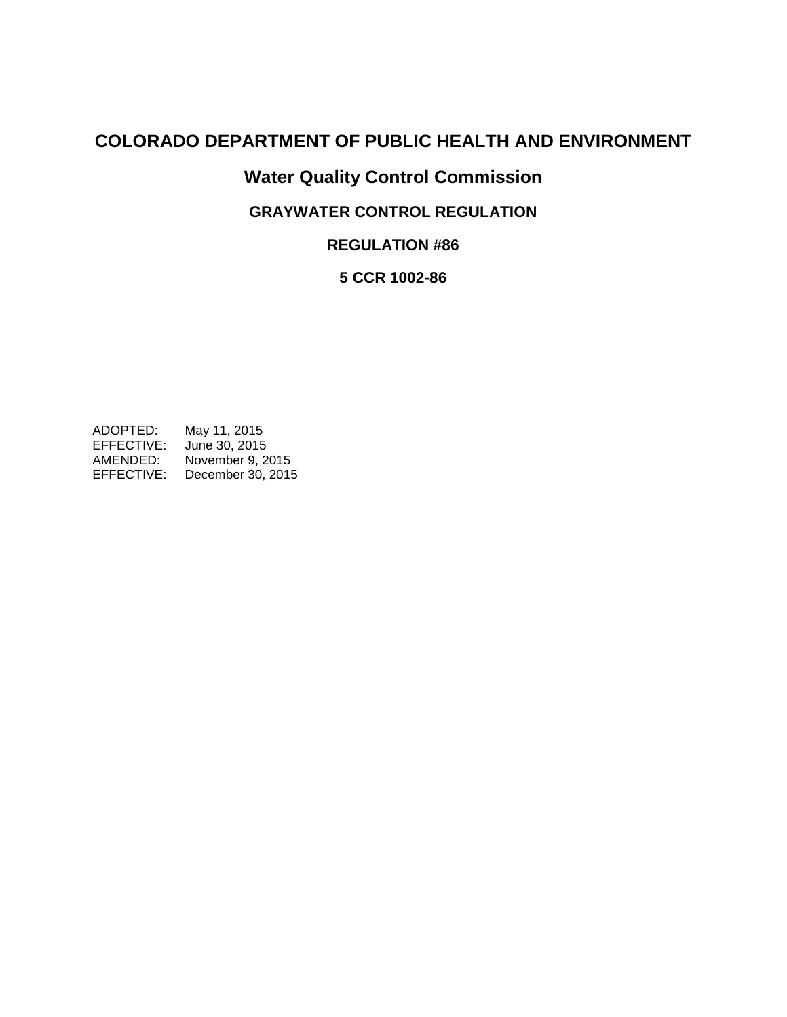# **COLORADO DEPARTMENT OF PUBLIC HEALTH AND ENVIRONMENT**

# **Water Quality Control Commission**

# **GRAYWATER CONTROL REGULATION**

**REGULATION #86**

# **5 CCR 1002-86**

ADOPTED: May 11, 2015 EFFECTIVE: June 30, 2015 AMENDED: November 9, 2015 EFFECTIVE: December 30, 2015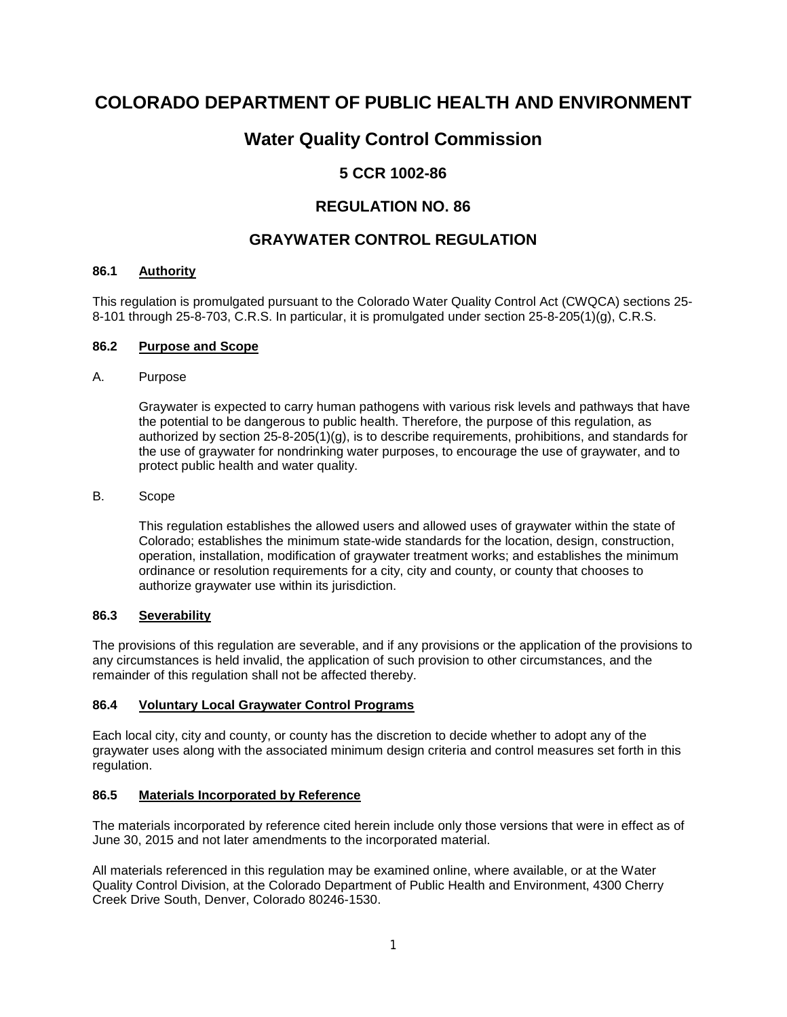# **COLORADO DEPARTMENT OF PUBLIC HEALTH AND ENVIRONMENT**

# **Water Quality Control Commission**

# **5 CCR 1002-86**

# **REGULATION NO. 86**

# **GRAYWATER CONTROL REGULATION**

#### **86.1 Authority**

This regulation is promulgated pursuant to the Colorado Water Quality Control Act (CWQCA) sections 25- 8-101 through 25-8-703, C.R.S. In particular, it is promulgated under section 25-8-205(1)(g), C.R.S.

#### **86.2 Purpose and Scope**

#### A. Purpose

Graywater is expected to carry human pathogens with various risk levels and pathways that have the potential to be dangerous to public health. Therefore, the purpose of this regulation, as authorized by section 25-8-205(1)(g), is to describe requirements, prohibitions, and standards for the use of graywater for nondrinking water purposes, to encourage the use of graywater, and to protect public health and water quality.

# B. Scope

This regulation establishes the allowed users and allowed uses of graywater within the state of Colorado; establishes the minimum state-wide standards for the location, design, construction, operation, installation, modification of graywater treatment works; and establishes the minimum ordinance or resolution requirements for a city, city and county, or county that chooses to authorize graywater use within its jurisdiction.

### **86.3 Severability**

The provisions of this regulation are severable, and if any provisions or the application of the provisions to any circumstances is held invalid, the application of such provision to other circumstances, and the remainder of this regulation shall not be affected thereby.

# **86.4 Voluntary Local Graywater Control Programs**

Each local city, city and county, or county has the discretion to decide whether to adopt any of the graywater uses along with the associated minimum design criteria and control measures set forth in this regulation.

# **86.5 Materials Incorporated by Reference**

The materials incorporated by reference cited herein include only those versions that were in effect as of June 30, 2015 and not later amendments to the incorporated material.

All materials referenced in this regulation may be examined online, where available, or at the Water Quality Control Division, at the Colorado Department of Public Health and Environment, 4300 Cherry Creek Drive South, Denver, Colorado 80246-1530.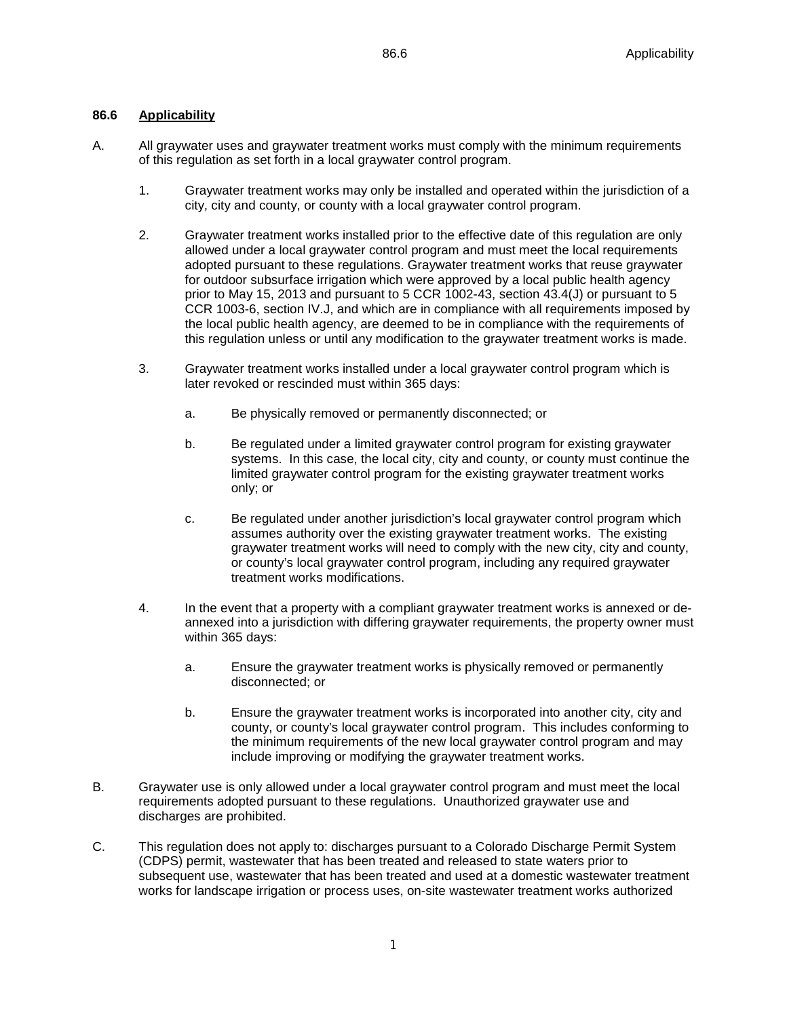### **86.6 Applicability**

- A. All graywater uses and graywater treatment works must comply with the minimum requirements of this regulation as set forth in a local graywater control program.
	- 1. Graywater treatment works may only be installed and operated within the jurisdiction of a city, city and county, or county with a local graywater control program.
	- 2. Graywater treatment works installed prior to the effective date of this regulation are only allowed under a local graywater control program and must meet the local requirements adopted pursuant to these regulations. Graywater treatment works that reuse graywater for outdoor subsurface irrigation which were approved by a local public health agency prior to May 15, 2013 and pursuant to 5 CCR 1002-43, section 43.4(J) or pursuant to 5 CCR 1003-6, section IV.J, and which are in compliance with all requirements imposed by the local public health agency, are deemed to be in compliance with the requirements of this regulation unless or until any modification to the graywater treatment works is made.
	- 3. Graywater treatment works installed under a local graywater control program which is later revoked or rescinded must within 365 days:
		- a. Be physically removed or permanently disconnected; or
		- b. Be regulated under a limited graywater control program for existing graywater systems. In this case, the local city, city and county, or county must continue the limited graywater control program for the existing graywater treatment works only; or
		- c. Be regulated under another jurisdiction's local graywater control program which assumes authority over the existing graywater treatment works. The existing graywater treatment works will need to comply with the new city, city and county, or county's local graywater control program, including any required graywater treatment works modifications.
	- 4. In the event that a property with a compliant graywater treatment works is annexed or deannexed into a jurisdiction with differing graywater requirements, the property owner must within 365 days:
		- a. Ensure the graywater treatment works is physically removed or permanently disconnected; or
		- b. Ensure the graywater treatment works is incorporated into another city, city and county, or county's local graywater control program. This includes conforming to the minimum requirements of the new local graywater control program and may include improving or modifying the graywater treatment works.
- B. Graywater use is only allowed under a local graywater control program and must meet the local requirements adopted pursuant to these regulations. Unauthorized graywater use and discharges are prohibited.
- C. This regulation does not apply to: discharges pursuant to a Colorado Discharge Permit System (CDPS) permit, wastewater that has been treated and released to state waters prior to subsequent use, wastewater that has been treated and used at a domestic wastewater treatment works for landscape irrigation or process uses, on-site wastewater treatment works authorized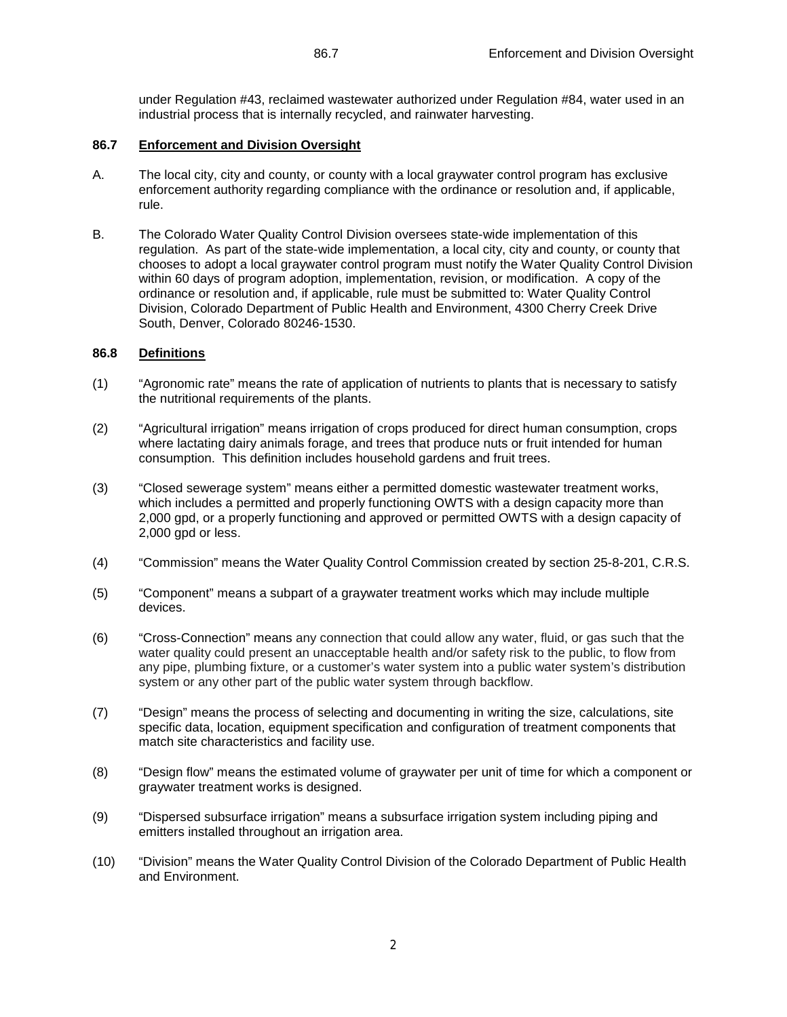under Regulation #43, reclaimed wastewater authorized under Regulation #84, water used in an industrial process that is internally recycled, and rainwater harvesting.

# **86.7 Enforcement and Division Oversight**

- A. The local city, city and county, or county with a local graywater control program has exclusive enforcement authority regarding compliance with the ordinance or resolution and, if applicable, rule.
- B. The Colorado Water Quality Control Division oversees state-wide implementation of this regulation. As part of the state-wide implementation, a local city, city and county, or county that chooses to adopt a local graywater control program must notify the Water Quality Control Division within 60 days of program adoption, implementation, revision, or modification. A copy of the ordinance or resolution and, if applicable, rule must be submitted to: Water Quality Control Division, Colorado Department of Public Health and Environment, 4300 Cherry Creek Drive South, Denver, Colorado 80246-1530.

# **86.8 Definitions**

- (1) "Agronomic rate" means the rate of application of nutrients to plants that is necessary to satisfy the nutritional requirements of the plants.
- (2) "Agricultural irrigation" means irrigation of crops produced for direct human consumption, crops where lactating dairy animals forage, and trees that produce nuts or fruit intended for human consumption. This definition includes household gardens and fruit trees.
- (3) "Closed sewerage system" means either a permitted domestic wastewater treatment works, which includes a permitted and properly functioning OWTS with a design capacity more than 2,000 gpd, or a properly functioning and approved or permitted OWTS with a design capacity of 2,000 gpd or less.
- (4) "Commission" means the Water Quality Control Commission created by section 25-8-201, C.R.S.
- (5) "Component" means a subpart of a graywater treatment works which may include multiple devices.
- (6) "Cross-Connection" means any connection that could allow any water, fluid, or gas such that the water quality could present an unacceptable health and/or safety risk to the public, to flow from any pipe, plumbing fixture, or a customer's water system into a public water system's distribution system or any other part of the public water system through backflow.
- (7) "Design" means the process of selecting and documenting in writing the size, calculations, site specific data, location, equipment specification and configuration of treatment components that match site characteristics and facility use.
- (8) "Design flow" means the estimated volume of graywater per unit of time for which a component or graywater treatment works is designed.
- (9) "Dispersed subsurface irrigation" means a subsurface irrigation system including piping and emitters installed throughout an irrigation area.
- (10) "Division" means the Water Quality Control Division of the Colorado Department of Public Health and Environment.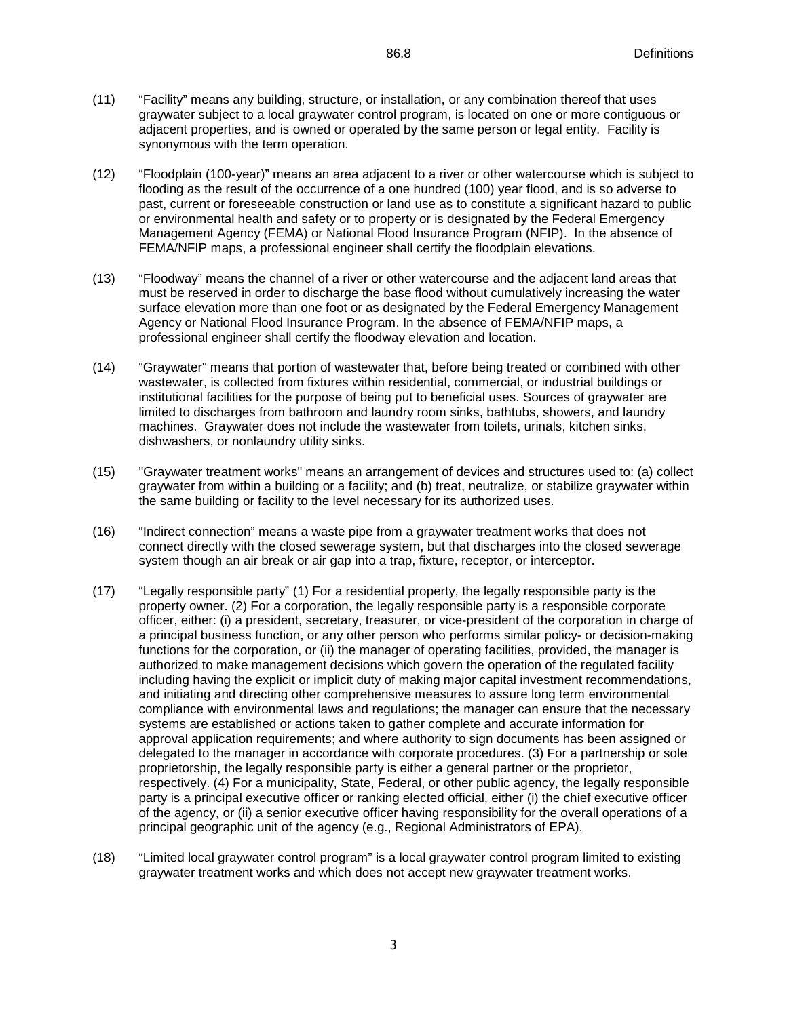- (11) "Facility" means any building, structure, or installation, or any combination thereof that uses graywater subject to a local graywater control program, is located on one or more contiguous or adjacent properties, and is owned or operated by the same person or legal entity. Facility is synonymous with the term operation.
- (12) "Floodplain (100-year)" means an area adjacent to a river or other watercourse which is subject to flooding as the result of the occurrence of a one hundred (100) year flood, and is so adverse to past, current or foreseeable construction or land use as to constitute a significant hazard to public or environmental health and safety or to property or is designated by the Federal Emergency Management Agency (FEMA) or National Flood Insurance Program (NFIP). In the absence of FEMA/NFIP maps, a professional engineer shall certify the floodplain elevations.
- (13) "Floodway" means the channel of a river or other watercourse and the adjacent land areas that must be reserved in order to discharge the base flood without cumulatively increasing the water surface elevation more than one foot or as designated by the Federal Emergency Management Agency or National Flood Insurance Program. In the absence of FEMA/NFIP maps, a professional engineer shall certify the floodway elevation and location.
- (14) "Graywater" means that portion of wastewater that, before being treated or combined with other wastewater, is collected from fixtures within residential, commercial, or industrial buildings or institutional facilities for the purpose of being put to beneficial uses. Sources of graywater are limited to discharges from bathroom and laundry room sinks, bathtubs, showers, and laundry machines. Graywater does not include the wastewater from toilets, urinals, kitchen sinks, dishwashers, or nonlaundry utility sinks.
- (15) "Graywater treatment works" means an arrangement of devices and structures used to: (a) collect graywater from within a building or a facility; and (b) treat, neutralize, or stabilize graywater within the same building or facility to the level necessary for its authorized uses.
- (16) "Indirect connection" means a waste pipe from a graywater treatment works that does not connect directly with the closed sewerage system, but that discharges into the closed sewerage system though an air break or air gap into a trap, fixture, receptor, or interceptor.
- (17) "Legally responsible party" (1) For a residential property, the legally responsible party is the property owner. (2) For a corporation, the legally responsible party is a responsible corporate officer, either: (i) a president, secretary, treasurer, or vice-president of the corporation in charge of a principal business function, or any other person who performs similar policy- or decision-making functions for the corporation, or (ii) the manager of operating facilities, provided, the manager is authorized to make management decisions which govern the operation of the regulated facility including having the explicit or implicit duty of making major capital investment recommendations, and initiating and directing other comprehensive measures to assure long term environmental compliance with environmental laws and regulations; the manager can ensure that the necessary systems are established or actions taken to gather complete and accurate information for approval application requirements; and where authority to sign documents has been assigned or delegated to the manager in accordance with corporate procedures. (3) For a partnership or sole proprietorship, the legally responsible party is either a general partner or the proprietor, respectively. (4) For a municipality, State, Federal, or other public agency, the legally responsible party is a principal executive officer or ranking elected official, either (i) the chief executive officer of the agency, or (ii) a senior executive officer having responsibility for the overall operations of a principal geographic unit of the agency (e.g., Regional Administrators of EPA).
- (18) "Limited local graywater control program" is a local graywater control program limited to existing graywater treatment works and which does not accept new graywater treatment works.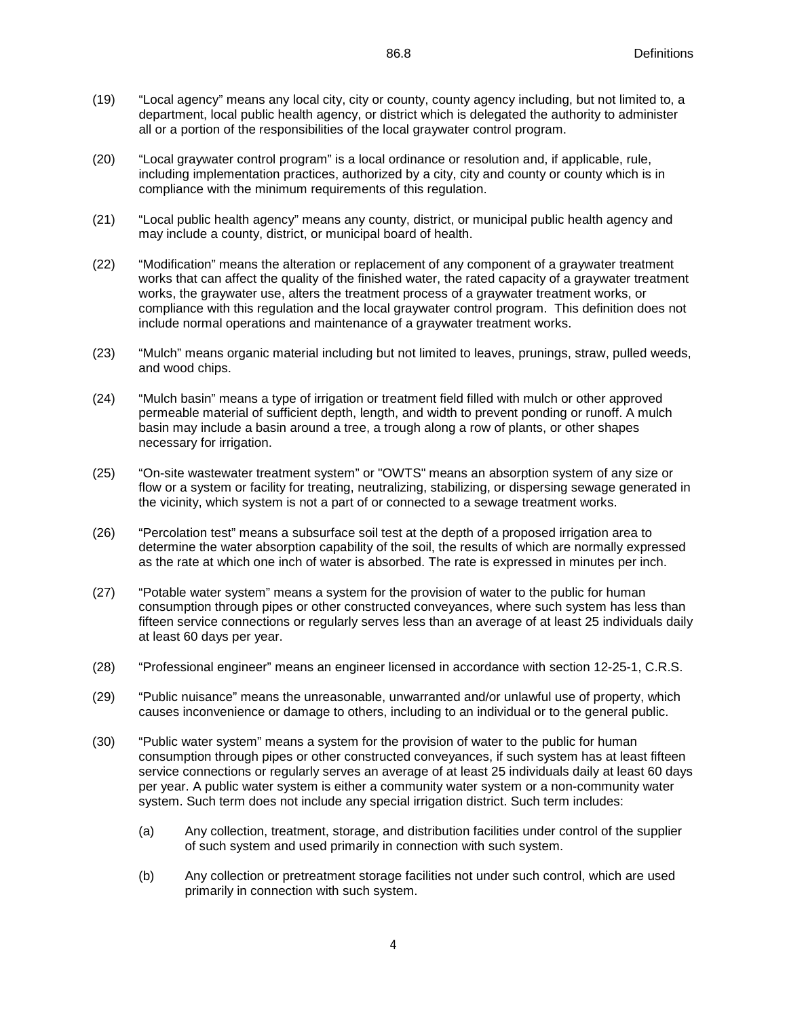- (19) "Local agency" means any local city, city or county, county agency including, but not limited to, a department, local public health agency, or district which is delegated the authority to administer all or a portion of the responsibilities of the local graywater control program.
- (20) "Local graywater control program" is a local ordinance or resolution and, if applicable, rule, including implementation practices, authorized by a city, city and county or county which is in compliance with the minimum requirements of this regulation.
- (21) "Local public health agency" means any county, district, or municipal public health agency and may include a county, district, or municipal board of health.
- (22) "Modification" means the alteration or replacement of any component of a graywater treatment works that can affect the quality of the finished water, the rated capacity of a graywater treatment works, the graywater use, alters the treatment process of a graywater treatment works, or compliance with this regulation and the local graywater control program. This definition does not include normal operations and maintenance of a graywater treatment works.
- (23) "Mulch" means organic material including but not limited to leaves, prunings, straw, pulled weeds, and wood chips.
- (24) "Mulch basin" means a type of irrigation or treatment field filled with mulch or other approved permeable material of sufficient depth, length, and width to prevent ponding or runoff. A mulch basin may include a basin around a tree, a trough along a row of plants, or other shapes necessary for irrigation.
- (25) "On-site wastewater treatment system" or "OWTS" means an absorption system of any size or flow or a system or facility for treating, neutralizing, stabilizing, or dispersing sewage generated in the vicinity, which system is not a part of or connected to a sewage treatment works.
- (26) "Percolation test" means a subsurface soil test at the depth of a proposed irrigation area to determine the water absorption capability of the soil, the results of which are normally expressed as the rate at which one inch of water is absorbed. The rate is expressed in minutes per inch.
- (27) "Potable water system" means a system for the provision of water to the public for human consumption through pipes or other constructed conveyances, where such system has less than fifteen service connections or regularly serves less than an average of at least 25 individuals daily at least 60 days per year.
- (28) "Professional engineer" means an engineer licensed in accordance with section 12-25-1, C.R.S.
- (29) "Public nuisance" means the unreasonable, unwarranted and/or unlawful use of property, which causes inconvenience or damage to others, including to an individual or to the general public.
- (30) "Public water system" means a system for the provision of water to the public for human consumption through pipes or other constructed conveyances, if such system has at least fifteen service connections or regularly serves an average of at least 25 individuals daily at least 60 days per year. A public water system is either a community water system or a non-community water system. Such term does not include any special irrigation district. Such term includes:
	- (a) Any collection, treatment, storage, and distribution facilities under control of the supplier of such system and used primarily in connection with such system.
	- (b) Any collection or pretreatment storage facilities not under such control, which are used primarily in connection with such system.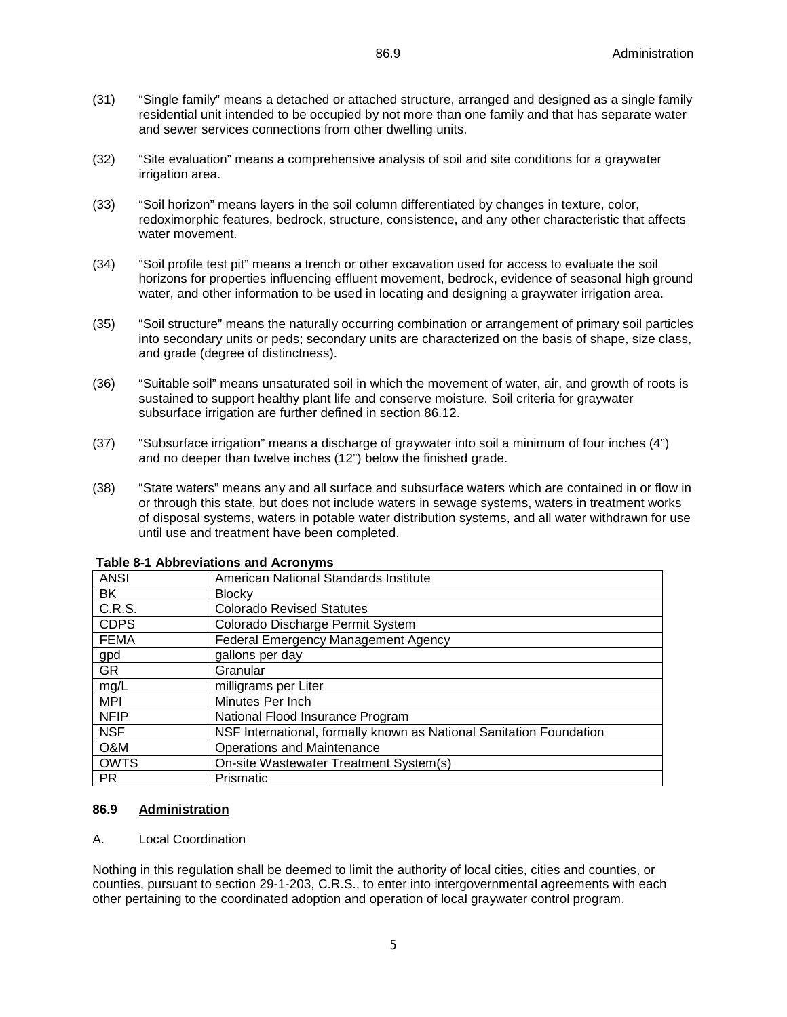- (31) "Single family" means a detached or attached structure, arranged and designed as a single family residential unit intended to be occupied by not more than one family and that has separate water and sewer services connections from other dwelling units.
- (32) "Site evaluation" means a comprehensive analysis of soil and site conditions for a graywater irrigation area.
- (33) "Soil horizon" means layers in the soil column differentiated by changes in texture, color, redoximorphic features, bedrock, structure, consistence, and any other characteristic that affects water movement.
- (34) "Soil profile test pit" means a trench or other excavation used for access to evaluate the soil horizons for properties influencing effluent movement, bedrock, evidence of seasonal high ground water, and other information to be used in locating and designing a graywater irrigation area.
- (35) "Soil structure" means the naturally occurring combination or arrangement of primary soil particles into secondary units or peds; secondary units are characterized on the basis of shape, size class, and grade (degree of distinctness).
- (36) "Suitable soil" means unsaturated soil in which the movement of water, air, and growth of roots is sustained to support healthy plant life and conserve moisture. Soil criteria for graywater subsurface irrigation are further defined in section 86.12.
- (37) "Subsurface irrigation" means a discharge of graywater into soil a minimum of four inches (4") and no deeper than twelve inches (12") below the finished grade.
- (38) "State waters" means any and all surface and subsurface waters which are contained in or flow in or through this state, but does not include waters in sewage systems, waters in treatment works of disposal systems, waters in potable water distribution systems, and all water withdrawn for use until use and treatment have been completed.

| <b>ANSI</b> | American National Standards Institute                               |
|-------------|---------------------------------------------------------------------|
| BK.         | <b>Blocky</b>                                                       |
| C.R.S.      | <b>Colorado Revised Statutes</b>                                    |
| <b>CDPS</b> | Colorado Discharge Permit System                                    |
| <b>FEMA</b> | Federal Emergency Management Agency                                 |
| gpd         | gallons per day                                                     |
| <b>GR</b>   | Granular                                                            |
| mg/L        | milligrams per Liter                                                |
| <b>MPI</b>  | Minutes Per Inch                                                    |
| <b>NFIP</b> | National Flood Insurance Program                                    |
| <b>NSF</b>  | NSF International, formally known as National Sanitation Foundation |
| O&M         | <b>Operations and Maintenance</b>                                   |
| <b>OWTS</b> | On-site Wastewater Treatment System(s)                              |
| <b>PR</b>   | Prismatic                                                           |

#### **Table 8-1 Abbreviations and Acronyms**

#### **86.9 Administration**

#### A. Local Coordination

Nothing in this regulation shall be deemed to limit the authority of local cities, cities and counties, or counties, pursuant to section 29-1-203, C.R.S., to enter into intergovernmental agreements with each other pertaining to the coordinated adoption and operation of local graywater control program.

5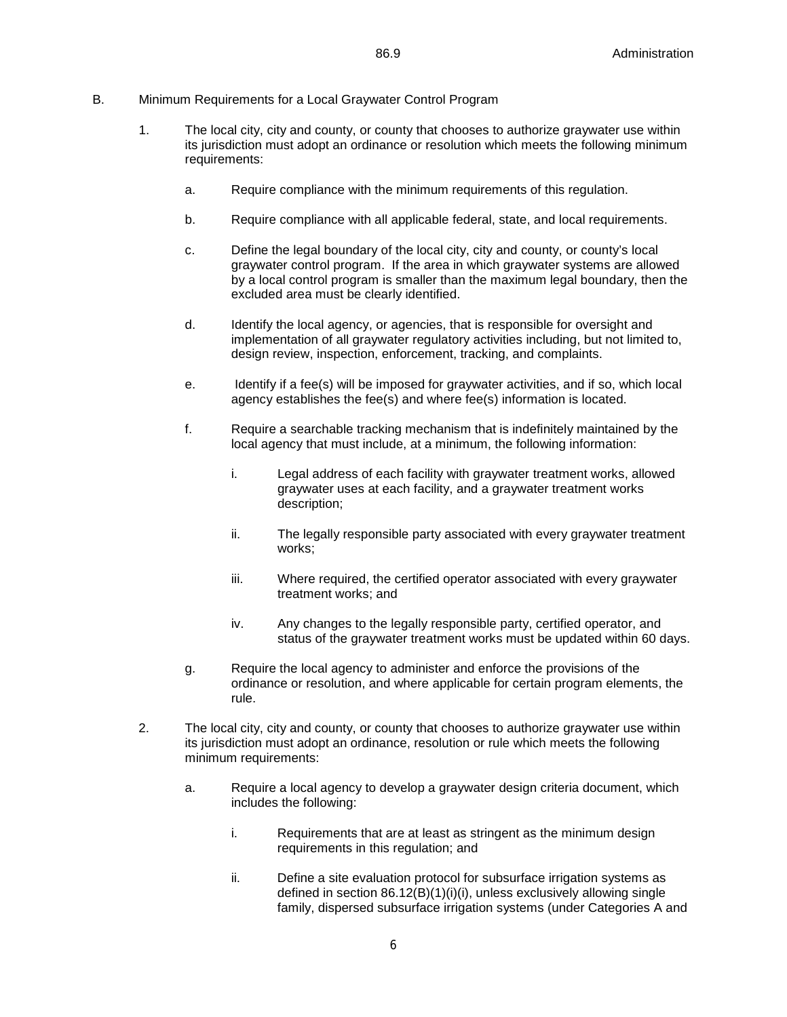#### B. Minimum Requirements for a Local Graywater Control Program

- 1. The local city, city and county, or county that chooses to authorize graywater use within its jurisdiction must adopt an ordinance or resolution which meets the following minimum requirements:
	- a. Require compliance with the minimum requirements of this regulation.
	- b. Require compliance with all applicable federal, state, and local requirements.
	- c. Define the legal boundary of the local city, city and county, or county's local graywater control program. If the area in which graywater systems are allowed by a local control program is smaller than the maximum legal boundary, then the excluded area must be clearly identified.
	- d. Identify the local agency, or agencies, that is responsible for oversight and implementation of all graywater regulatory activities including, but not limited to, design review, inspection, enforcement, tracking, and complaints.
	- e. Identify if a fee(s) will be imposed for graywater activities, and if so, which local agency establishes the fee(s) and where fee(s) information is located.
	- f. Require a searchable tracking mechanism that is indefinitely maintained by the local agency that must include, at a minimum, the following information:
		- i. Legal address of each facility with graywater treatment works, allowed graywater uses at each facility, and a graywater treatment works description;
		- ii. The legally responsible party associated with every graywater treatment works;
		- iii. Where required, the certified operator associated with every graywater treatment works; and
		- iv. Any changes to the legally responsible party, certified operator, and status of the graywater treatment works must be updated within 60 days.
	- g. Require the local agency to administer and enforce the provisions of the ordinance or resolution, and where applicable for certain program elements, the rule.
- 2. The local city, city and county, or county that chooses to authorize graywater use within its jurisdiction must adopt an ordinance, resolution or rule which meets the following minimum requirements:
	- a. Require a local agency to develop a graywater design criteria document, which includes the following:
		- i. Requirements that are at least as stringent as the minimum design requirements in this regulation; and
		- ii. Define a site evaluation protocol for subsurface irrigation systems as defined in section 86.12(B)(1)(i)(i), unless exclusively allowing single family, dispersed subsurface irrigation systems (under Categories A and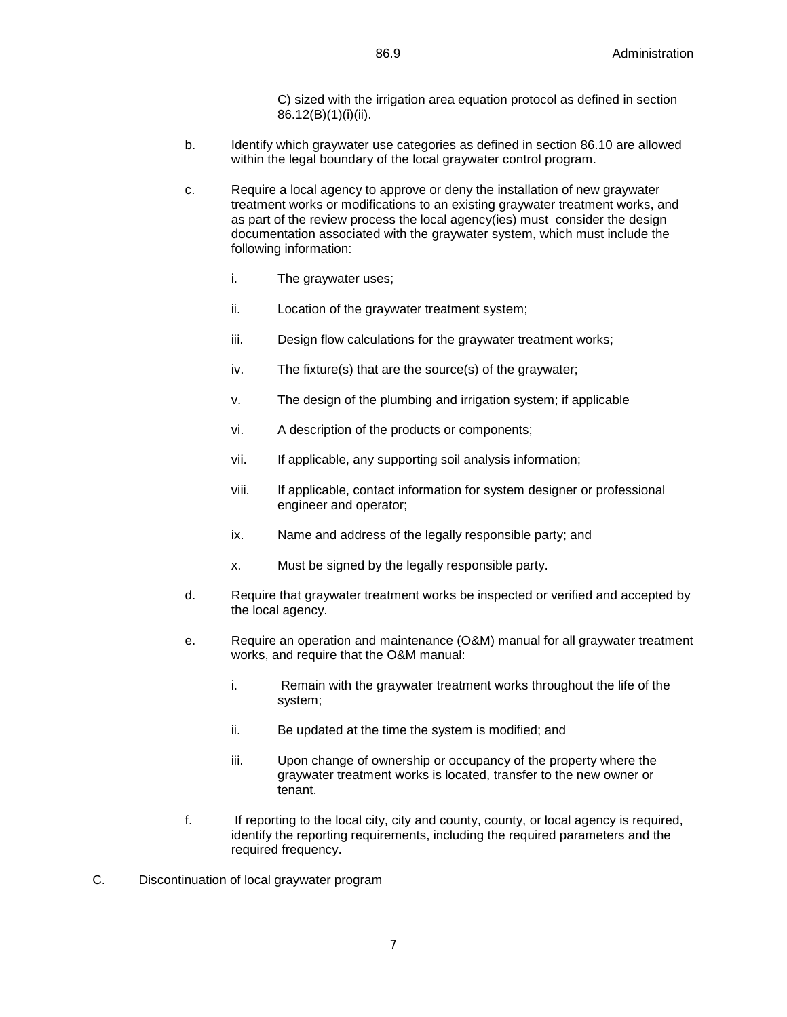C) sized with the irrigation area equation protocol as defined in section 86.12(B)(1)(i)(ii).

- b. Identify which graywater use categories as defined in section 86.10 are allowed within the legal boundary of the local graywater control program.
- c. Require a local agency to approve or deny the installation of new graywater treatment works or modifications to an existing graywater treatment works, and as part of the review process the local agency(ies) must consider the design documentation associated with the graywater system, which must include the following information:
	- i. The graywater uses;
	- ii. Location of the graywater treatment system;
	- iii. Design flow calculations for the graywater treatment works;
	- iv. The fixture(s) that are the source(s) of the graywater;
	- v. The design of the plumbing and irrigation system; if applicable
	- vi. A description of the products or components;
	- vii. If applicable, any supporting soil analysis information;
	- viii. If applicable, contact information for system designer or professional engineer and operator;
	- ix. Name and address of the legally responsible party; and
	- x. Must be signed by the legally responsible party.
- d. Require that graywater treatment works be inspected or verified and accepted by the local agency.
- e. Require an operation and maintenance (O&M) manual for all graywater treatment works, and require that the O&M manual:
	- i. Remain with the graywater treatment works throughout the life of the system;
	- ii. Be updated at the time the system is modified; and
	- iii. Upon change of ownership or occupancy of the property where the graywater treatment works is located, transfer to the new owner or tenant.
- f. If reporting to the local city, city and county, county, or local agency is required, identify the reporting requirements, including the required parameters and the required frequency.
- C. Discontinuation of local graywater program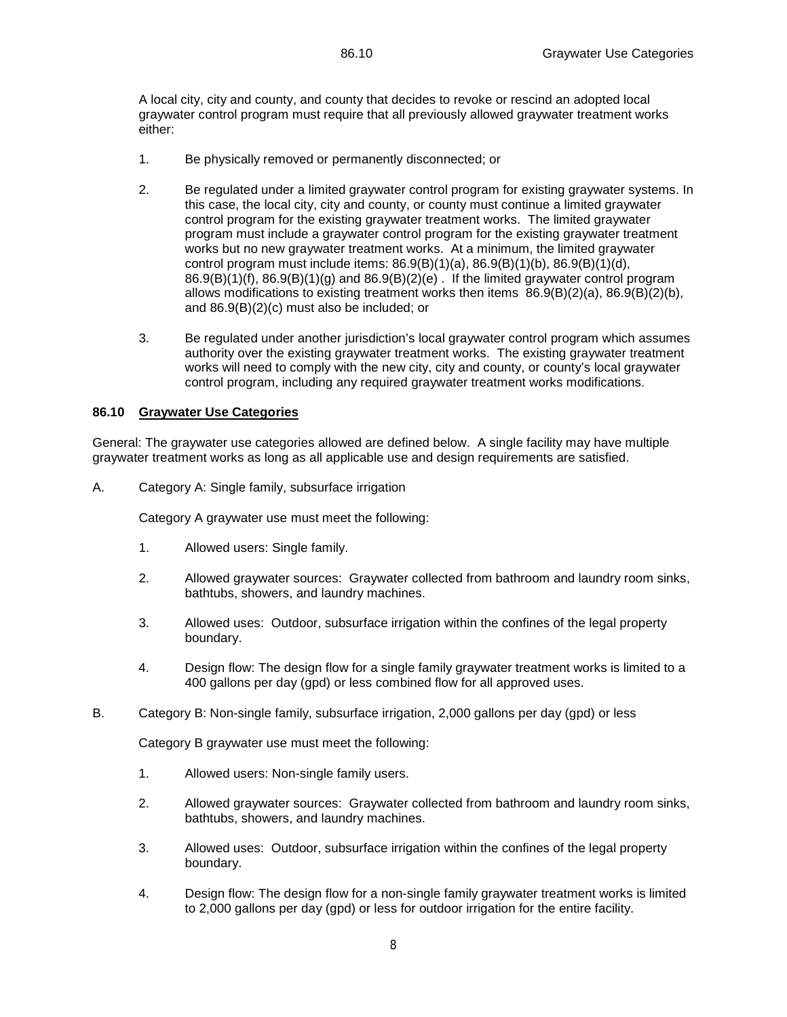A local city, city and county, and county that decides to revoke or rescind an adopted local graywater control program must require that all previously allowed graywater treatment works either:

- 1. Be physically removed or permanently disconnected; or
- 2. Be regulated under a limited graywater control program for existing graywater systems. In this case, the local city, city and county, or county must continue a limited graywater control program for the existing graywater treatment works. The limited graywater program must include a graywater control program for the existing graywater treatment works but no new graywater treatment works. At a minimum, the limited graywater control program must include items: 86.9(B)(1)(a), 86.9(B)(1)(b), 86.9(B)(1)(d),  $86.9(B)(1)(f)$ ,  $86.9(B)(1)(g)$  and  $86.9(B)(2)(e)$ . If the limited graywater control program allows modifications to existing treatment works then items 86.9(B)(2)(a), 86.9(B)(2)(b), and 86.9(B)(2)(c) must also be included; or
- 3. Be regulated under another jurisdiction's local graywater control program which assumes authority over the existing graywater treatment works. The existing graywater treatment works will need to comply with the new city, city and county, or county's local graywater control program, including any required graywater treatment works modifications.

#### **86.10 Graywater Use Categories**

General: The graywater use categories allowed are defined below. A single facility may have multiple graywater treatment works as long as all applicable use and design requirements are satisfied.

A. Category A: Single family, subsurface irrigation

Category A graywater use must meet the following:

- 1. Allowed users: Single family.
- 2. Allowed graywater sources: Graywater collected from bathroom and laundry room sinks, bathtubs, showers, and laundry machines.
- 3. Allowed uses: Outdoor, subsurface irrigation within the confines of the legal property boundary.
- 4. Design flow: The design flow for a single family graywater treatment works is limited to a 400 gallons per day (gpd) or less combined flow for all approved uses.
- B. Category B: Non-single family, subsurface irrigation, 2,000 gallons per day (gpd) or less

Category B graywater use must meet the following:

- 1. Allowed users: Non-single family users.
- 2. Allowed graywater sources: Graywater collected from bathroom and laundry room sinks, bathtubs, showers, and laundry machines.
- 3. Allowed uses: Outdoor, subsurface irrigation within the confines of the legal property boundary.
- 4. Design flow: The design flow for a non-single family graywater treatment works is limited to 2,000 gallons per day (gpd) or less for outdoor irrigation for the entire facility.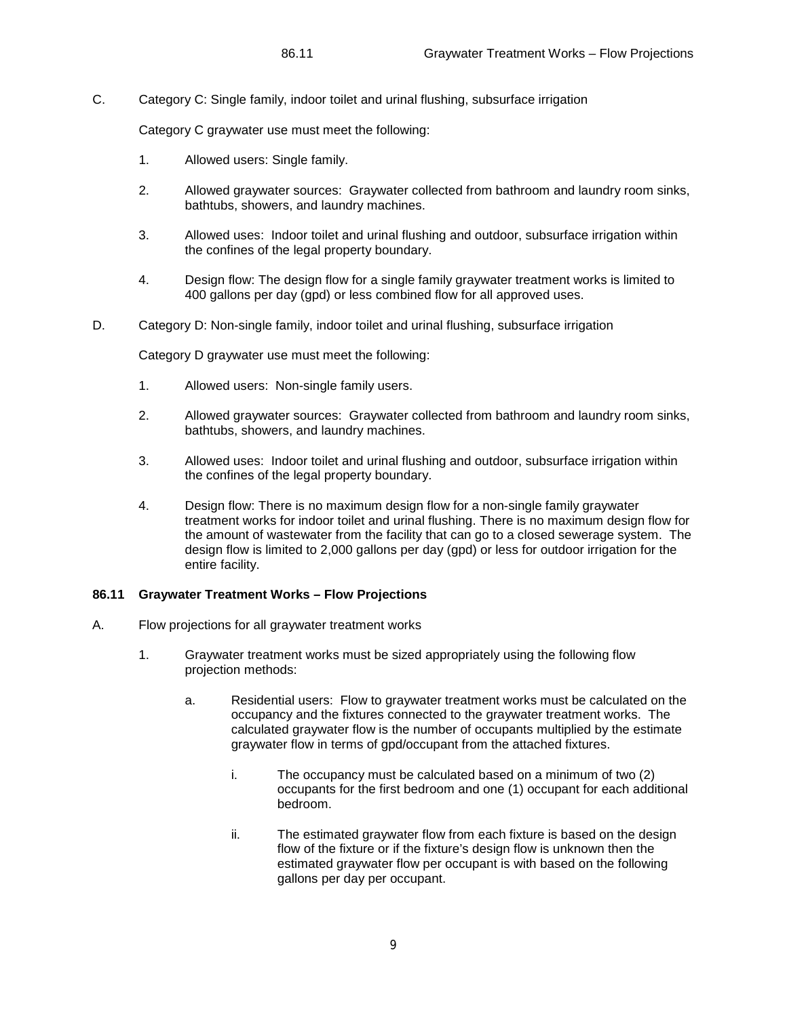C. Category C: Single family, indoor toilet and urinal flushing, subsurface irrigation

Category C graywater use must meet the following:

- 1. Allowed users: Single family.
- 2. Allowed graywater sources: Graywater collected from bathroom and laundry room sinks, bathtubs, showers, and laundry machines.
- 3. Allowed uses: Indoor toilet and urinal flushing and outdoor, subsurface irrigation within the confines of the legal property boundary.
- 4. Design flow: The design flow for a single family graywater treatment works is limited to 400 gallons per day (gpd) or less combined flow for all approved uses.
- D. Category D: Non-single family, indoor toilet and urinal flushing, subsurface irrigation

Category D graywater use must meet the following:

- 1. Allowed users: Non-single family users.
- 2. Allowed graywater sources: Graywater collected from bathroom and laundry room sinks, bathtubs, showers, and laundry machines.
- 3. Allowed uses: Indoor toilet and urinal flushing and outdoor, subsurface irrigation within the confines of the legal property boundary.
- 4. Design flow: There is no maximum design flow for a non-single family graywater treatment works for indoor toilet and urinal flushing. There is no maximum design flow for the amount of wastewater from the facility that can go to a closed sewerage system. The design flow is limited to 2,000 gallons per day (gpd) or less for outdoor irrigation for the entire facility.

# **86.11 Graywater Treatment Works – Flow Projections**

- A. Flow projections for all graywater treatment works
	- 1. Graywater treatment works must be sized appropriately using the following flow projection methods:
		- a. Residential users: Flow to graywater treatment works must be calculated on the occupancy and the fixtures connected to the graywater treatment works. The calculated graywater flow is the number of occupants multiplied by the estimate graywater flow in terms of gpd/occupant from the attached fixtures.
			- i. The occupancy must be calculated based on a minimum of two (2) occupants for the first bedroom and one (1) occupant for each additional bedroom.
			- ii. The estimated graywater flow from each fixture is based on the design flow of the fixture or if the fixture's design flow is unknown then the estimated graywater flow per occupant is with based on the following gallons per day per occupant.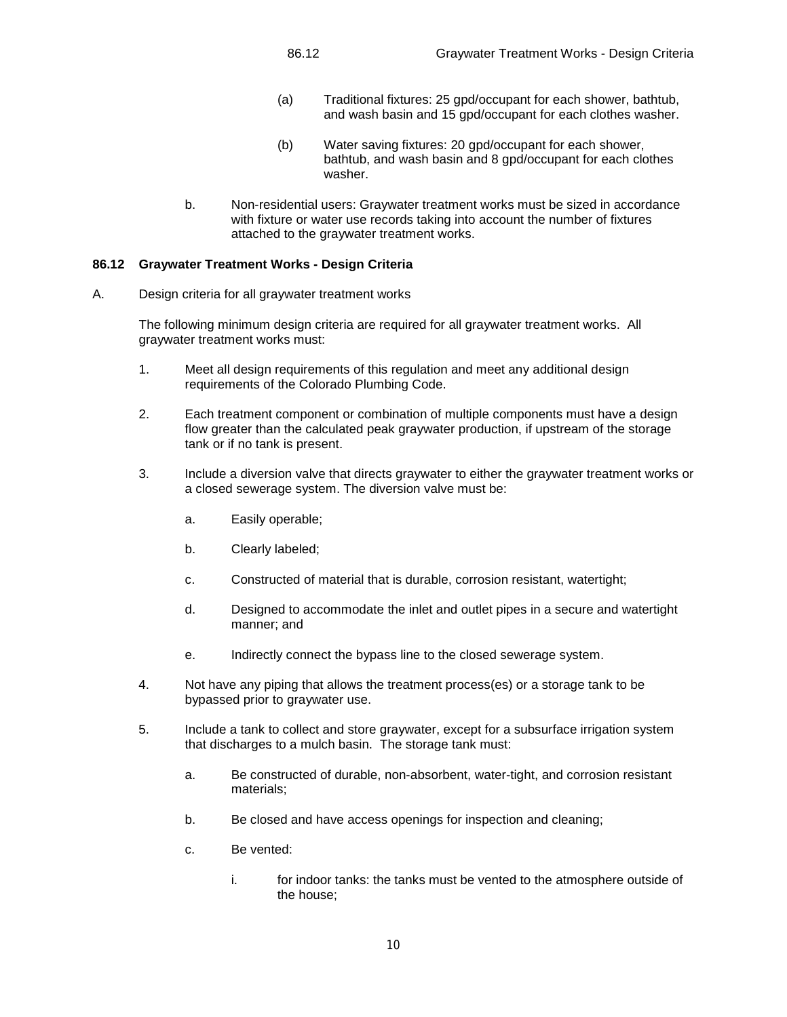- (a) Traditional fixtures: 25 gpd/occupant for each shower, bathtub, and wash basin and 15 gpd/occupant for each clothes washer.
- (b) Water saving fixtures: 20 gpd/occupant for each shower, bathtub, and wash basin and 8 gpd/occupant for each clothes washer.
- b. Non-residential users: Graywater treatment works must be sized in accordance with fixture or water use records taking into account the number of fixtures attached to the graywater treatment works.

#### **86.12 Graywater Treatment Works - Design Criteria**

A. Design criteria for all graywater treatment works

The following minimum design criteria are required for all graywater treatment works. All graywater treatment works must:

- 1. Meet all design requirements of this regulation and meet any additional design requirements of the Colorado Plumbing Code.
- 2. Each treatment component or combination of multiple components must have a design flow greater than the calculated peak graywater production, if upstream of the storage tank or if no tank is present.
- 3. Include a diversion valve that directs graywater to either the graywater treatment works or a closed sewerage system. The diversion valve must be:
	- a. Easily operable;
	- b. Clearly labeled;
	- c. Constructed of material that is durable, corrosion resistant, watertight;
	- d. Designed to accommodate the inlet and outlet pipes in a secure and watertight manner; and
	- e. Indirectly connect the bypass line to the closed sewerage system.
- 4. Not have any piping that allows the treatment process(es) or a storage tank to be bypassed prior to graywater use.
- 5. Include a tank to collect and store graywater, except for a subsurface irrigation system that discharges to a mulch basin. The storage tank must:
	- a. Be constructed of durable, non-absorbent, water-tight, and corrosion resistant materials;
	- b. Be closed and have access openings for inspection and cleaning;
	- c. Be vented:
		- i. for indoor tanks: the tanks must be vented to the atmosphere outside of the house;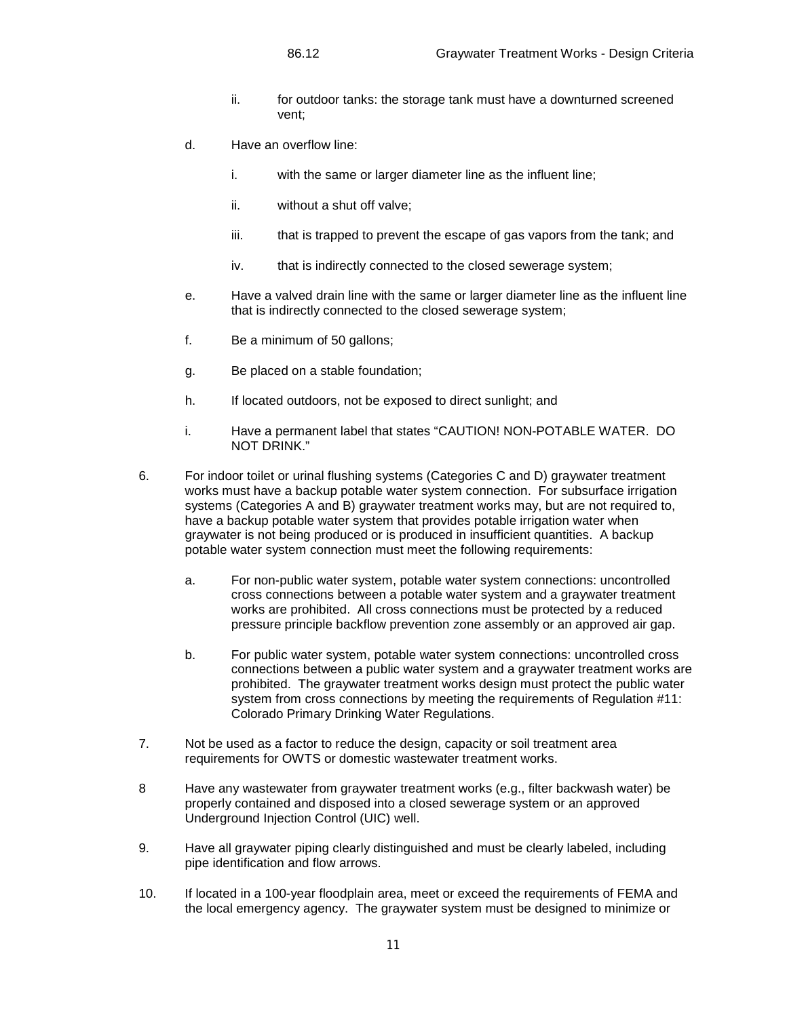- ii. for outdoor tanks: the storage tank must have a downturned screened vent;
- d. Have an overflow line:
	- i. with the same or larger diameter line as the influent line;
	- ii. without a shut off valve;
	- iii. that is trapped to prevent the escape of gas vapors from the tank; and
	- iv. that is indirectly connected to the closed sewerage system;
- e. Have a valved drain line with the same or larger diameter line as the influent line that is indirectly connected to the closed sewerage system;
- f. Be a minimum of 50 gallons;
- g. Be placed on a stable foundation;
- h. If located outdoors, not be exposed to direct sunlight; and
- i. Have a permanent label that states "CAUTION! NON-POTABLE WATER. DO NOT DRINK."
- 6. For indoor toilet or urinal flushing systems (Categories C and D) graywater treatment works must have a backup potable water system connection. For subsurface irrigation systems (Categories A and B) graywater treatment works may, but are not required to, have a backup potable water system that provides potable irrigation water when graywater is not being produced or is produced in insufficient quantities. A backup potable water system connection must meet the following requirements:
	- a. For non-public water system, potable water system connections: uncontrolled cross connections between a potable water system and a graywater treatment works are prohibited. All cross connections must be protected by a reduced pressure principle backflow prevention zone assembly or an approved air gap.
	- b. For public water system, potable water system connections: uncontrolled cross connections between a public water system and a graywater treatment works are prohibited. The graywater treatment works design must protect the public water system from cross connections by meeting the requirements of Regulation #11: Colorado Primary Drinking Water Regulations.
- 7. Not be used as a factor to reduce the design, capacity or soil treatment area requirements for OWTS or domestic wastewater treatment works.
- 8 Have any wastewater from graywater treatment works (e.g., filter backwash water) be properly contained and disposed into a closed sewerage system or an approved Underground Injection Control (UIC) well.
- 9. Have all graywater piping clearly distinguished and must be clearly labeled, including pipe identification and flow arrows.
- 10. If located in a 100-year floodplain area, meet or exceed the requirements of FEMA and the local emergency agency. The graywater system must be designed to minimize or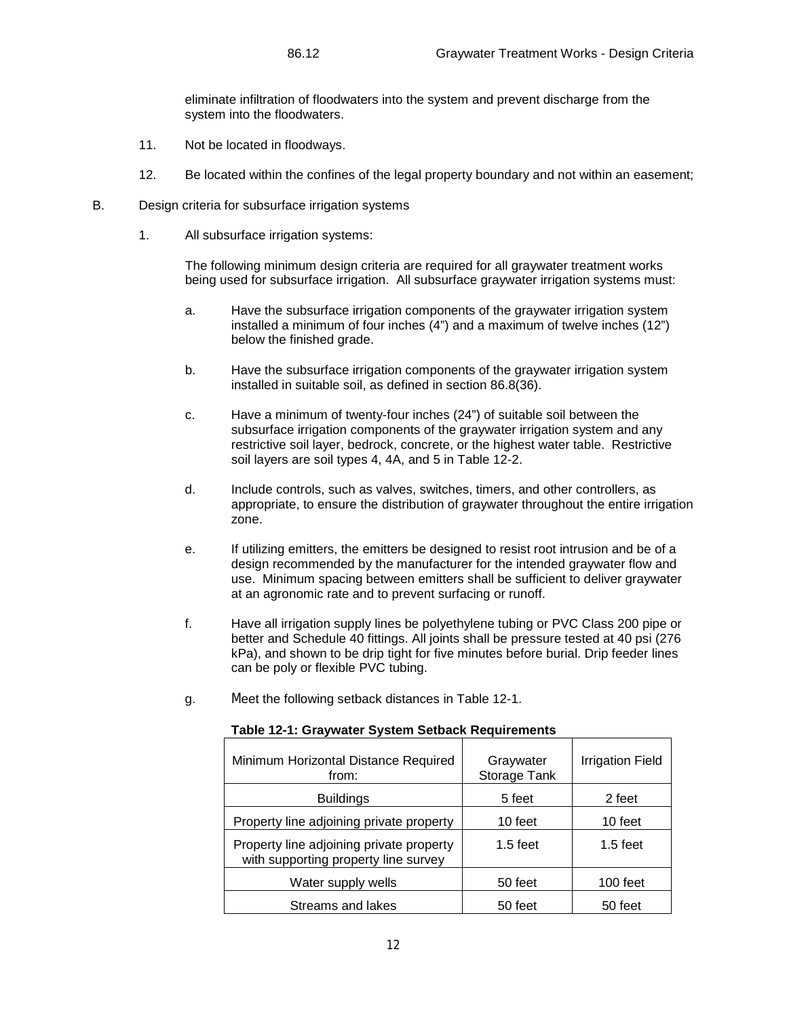eliminate infiltration of floodwaters into the system and prevent discharge from the system into the floodwaters.

- 11. Not be located in floodways.
- 12. Be located within the confines of the legal property boundary and not within an easement;
- B. Design criteria for subsurface irrigation systems
	- 1. All subsurface irrigation systems:

The following minimum design criteria are required for all graywater treatment works being used for subsurface irrigation. All subsurface graywater irrigation systems must:

- a. Have the subsurface irrigation components of the graywater irrigation system installed a minimum of four inches (4") and a maximum of twelve inches (12") below the finished grade.
- b. Have the subsurface irrigation components of the graywater irrigation system installed in suitable soil, as defined in section 86.8(36).
- c. Have a minimum of twenty-four inches (24") of suitable soil between the subsurface irrigation components of the graywater irrigation system and any restrictive soil layer, bedrock, concrete, or the highest water table. Restrictive soil layers are soil types 4, 4A, and 5 in Table 12-2.
- d. Include controls, such as valves, switches, timers, and other controllers, as appropriate, to ensure the distribution of graywater throughout the entire irrigation zone.
- e. If utilizing emitters, the emitters be designed to resist root intrusion and be of a design recommended by the manufacturer for the intended graywater flow and use. Minimum spacing between emitters shall be sufficient to deliver graywater at an agronomic rate and to prevent surfacing or runoff.
- f. Have all irrigation supply lines be polyethylene tubing or PVC Class 200 pipe or better and Schedule 40 fittings. All joints shall be pressure tested at 40 psi (276 kPa), and shown to be drip tight for five minutes before burial. Drip feeder lines can be poly or flexible PVC tubing.
- g. Meet the following setback distances in Table 12-1.

| Minimum Horizontal Distance Required<br>from:                                    | Graywater<br>Storage Tank | <b>Irrigation Field</b> |
|----------------------------------------------------------------------------------|---------------------------|-------------------------|
| <b>Buildings</b>                                                                 | 5 feet                    | 2 feet                  |
| Property line adjoining private property                                         | 10 feet                   | 10 feet                 |
| Property line adjoining private property<br>with supporting property line survey | $1.5$ feet                | $1.5$ feet              |
| Water supply wells                                                               | 50 feet                   | 100 feet                |
| Streams and lakes                                                                | 50 feet                   | 50 feet                 |

#### **Table 12-1: Graywater System Setback Requirements**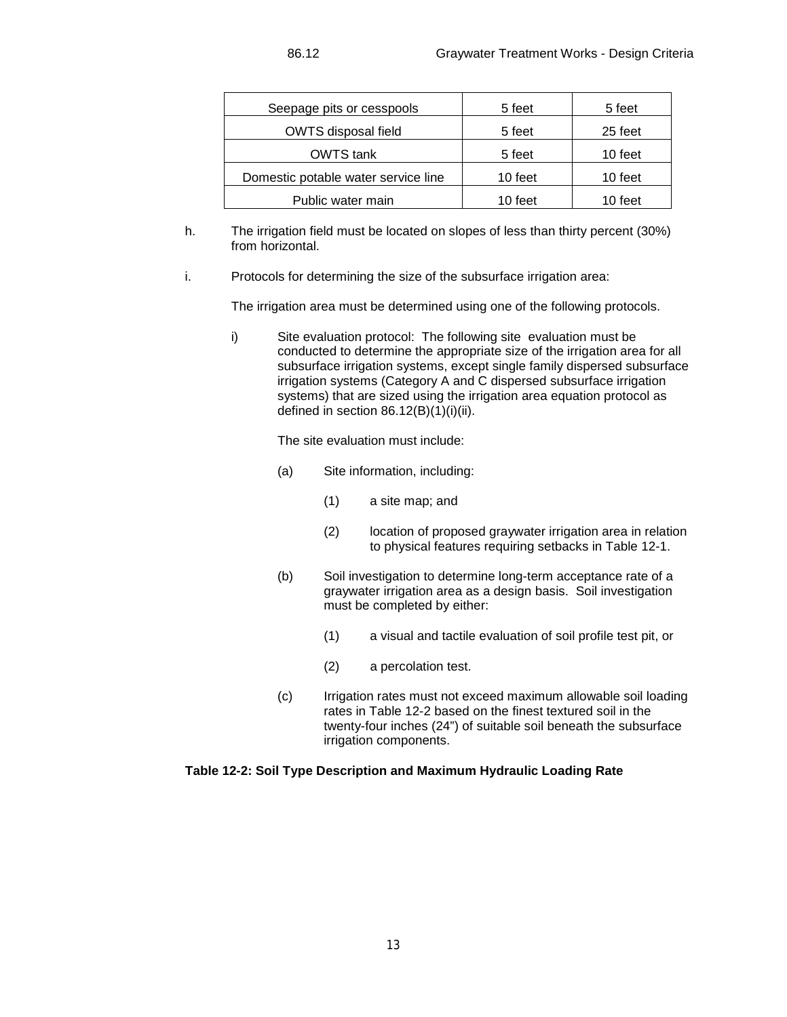| Seepage pits or cesspools           | 5 feet  | 5 feet  |
|-------------------------------------|---------|---------|
| OWTS disposal field                 | 5 feet  | 25 feet |
| OWTS tank                           | 5 feet  | 10 feet |
| Domestic potable water service line | 10 feet | 10 feet |
| Public water main                   | 10 feet | 10 feet |

- h. The irrigation field must be located on slopes of less than thirty percent (30%) from horizontal.
- i. Protocols for determining the size of the subsurface irrigation area:

The irrigation area must be determined using one of the following protocols.

i) Site evaluation protocol: The following site evaluation must be conducted to determine the appropriate size of the irrigation area for all subsurface irrigation systems, except single family dispersed subsurface irrigation systems (Category A and C dispersed subsurface irrigation systems) that are sized using the irrigation area equation protocol as defined in section  $86.12(B)(1)(i)(ii)$ .

The site evaluation must include:

- (a) Site information, including:
	- (1) a site map; and
	- (2) location of proposed graywater irrigation area in relation to physical features requiring setbacks in Table 12-1.
- (b) Soil investigation to determine long-term acceptance rate of a graywater irrigation area as a design basis. Soil investigation must be completed by either:
	- (1) a visual and tactile evaluation of soil profile test pit, or
	- (2) a percolation test.
- (c) Irrigation rates must not exceed maximum allowable soil loading rates in Table 12-2 based on the finest textured soil in the twenty-four inches (24") of suitable soil beneath the subsurface irrigation components.

# **Table 12-2: Soil Type Description and Maximum Hydraulic Loading Rate**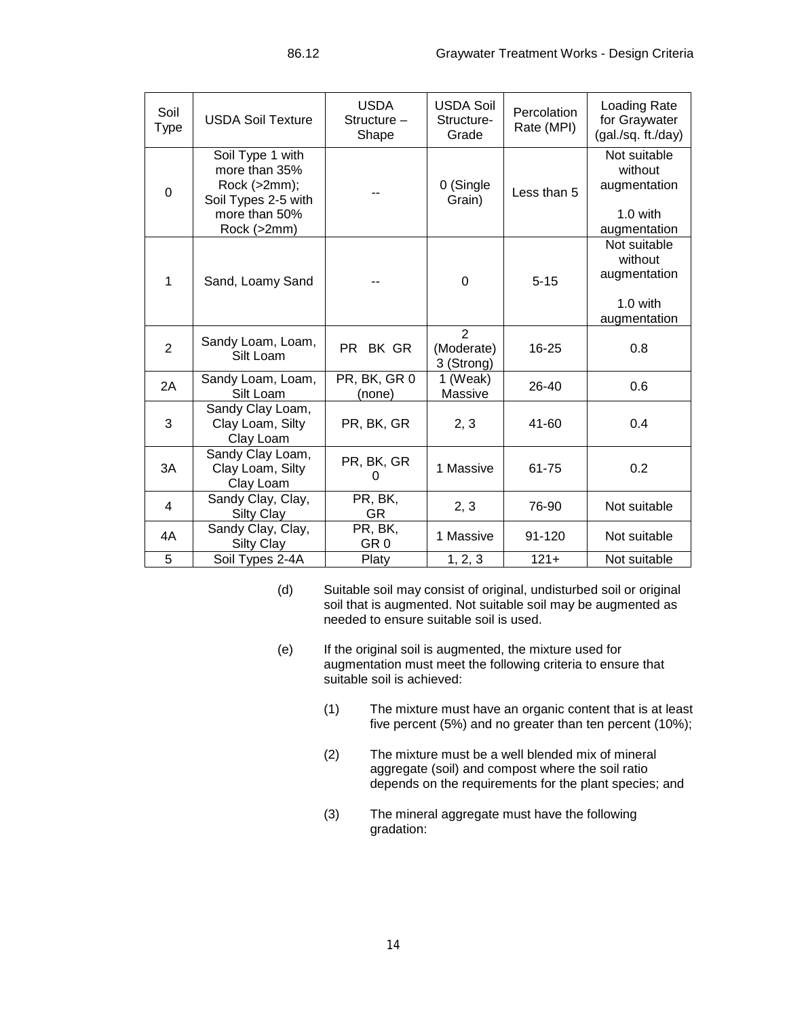| Soil<br><b>Type</b> | <b>USDA Soil Texture</b>                                                                                 | <b>USDA</b><br>Structure -<br>Shape | <b>USDA Soil</b><br>Structure-<br>Grade    | Percolation<br>Rate (MPI) | Loading Rate<br>for Graywater<br>(gal./sq. ft./day)                   |
|---------------------|----------------------------------------------------------------------------------------------------------|-------------------------------------|--------------------------------------------|---------------------------|-----------------------------------------------------------------------|
| $\mathbf 0$         | Soil Type 1 with<br>more than 35%<br>Rock (>2mm);<br>Soil Types 2-5 with<br>more than 50%<br>Rock (>2mm) |                                     | 0 (Single<br>Grain)                        | Less than 5               | Not suitable<br>without<br>augmentation<br>$1.0$ with<br>augmentation |
| 1                   | Sand, Loamy Sand                                                                                         |                                     | 0                                          | $5 - 15$                  | Not suitable<br>without<br>augmentation<br>$1.0$ with<br>augmentation |
| $\overline{2}$      | Sandy Loam, Loam,<br>Silt Loam                                                                           | BK GR<br>PR.                        | $\overline{2}$<br>(Moderate)<br>3 (Strong) | 16-25                     | 0.8                                                                   |
| 2A                  | Sandy Loam, Loam,<br>Silt Loam                                                                           | PR, BK, GR 0<br>(none)              | 1 (Weak)<br>Massive                        | 26-40                     | 0.6                                                                   |
| 3                   | Sandy Clay Loam,<br>Clay Loam, Silty<br>Clay Loam                                                        | PR, BK, GR                          | 2, 3                                       | 41-60                     | 0.4                                                                   |
| 3A                  | Sandy Clay Loam,<br>Clay Loam, Silty<br>Clay Loam                                                        | PR, BK, GR<br>0                     | 1 Massive                                  | 61-75                     | 0.2                                                                   |
| $\overline{4}$      | Sandy Clay, Clay,<br><b>Silty Clay</b>                                                                   | PR, BK,<br><b>GR</b>                | 2, 3                                       | 76-90                     | Not suitable                                                          |
| 4A                  | Sandy Clay, Clay,<br><b>Silty Clay</b>                                                                   | PR, BK,<br>GR <sub>0</sub>          | 1 Massive                                  | 91-120                    | Not suitable                                                          |
| 5                   | Soil Types 2-4A                                                                                          | Platy                               | 1, 2, 3                                    | $121 +$                   | Not suitable                                                          |

- (d) Suitable soil may consist of original, undisturbed soil or original soil that is augmented. Not suitable soil may be augmented as needed to ensure suitable soil is used.
- (e) If the original soil is augmented, the mixture used for augmentation must meet the following criteria to ensure that suitable soil is achieved:
	- (1) The mixture must have an organic content that is at least five percent (5%) and no greater than ten percent (10%);
	- (2) The mixture must be a well blended mix of mineral aggregate (soil) and compost where the soil ratio depends on the requirements for the plant species; and
	- (3) The mineral aggregate must have the following gradation: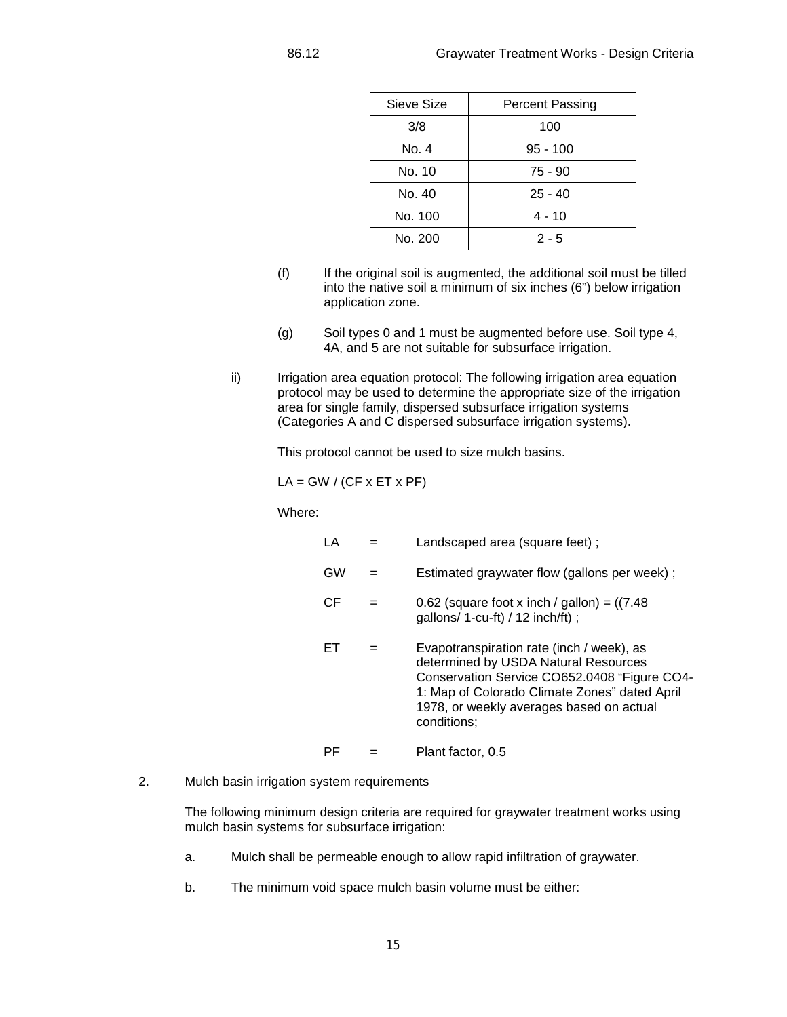| Sieve Size | <b>Percent Passing</b> |
|------------|------------------------|
| 3/8        | 100                    |
| No. 4      | $95 - 100$             |
| No. 10     | 75 - 90                |
| No. 40     | $25 - 40$              |
| No. 100    | 4 - 10                 |
| No. 200    | $2 - 5$                |

- (f) If the original soil is augmented, the additional soil must be tilled into the native soil a minimum of six inches (6") below irrigation application zone.
- (g) Soil types 0 and 1 must be augmented before use. Soil type 4, 4A, and 5 are not suitable for subsurface irrigation.
- ii) Irrigation area equation protocol: The following irrigation area equation protocol may be used to determine the appropriate size of the irrigation area for single family, dispersed subsurface irrigation systems (Categories A and C dispersed subsurface irrigation systems).

This protocol cannot be used to size mulch basins.

 $LA = GW / (CF \times ET \times PF)$ 

Where:

| LA |   | Landscaped area (square feet);                                                                                                                                                                                                                |
|----|---|-----------------------------------------------------------------------------------------------------------------------------------------------------------------------------------------------------------------------------------------------|
| GW |   | Estimated graywater flow (gallons per week);                                                                                                                                                                                                  |
| СF | = | 0.62 (square foot x inch / gallon) = $(7.48$<br>gallons/ 1-cu-ft) / 12 inch/ft);                                                                                                                                                              |
| FТ | = | Evapotranspiration rate (inch / week), as<br>determined by USDA Natural Resources<br>Conservation Service CO652.0408 "Figure CO4-<br>1: Map of Colorado Climate Zones" dated April<br>1978, or weekly averages based on actual<br>conditions; |
| РF |   | Plant factor, 0.5                                                                                                                                                                                                                             |

2. Mulch basin irrigation system requirements

The following minimum design criteria are required for graywater treatment works using mulch basin systems for subsurface irrigation:

- a. Mulch shall be permeable enough to allow rapid infiltration of graywater.
- b. The minimum void space mulch basin volume must be either: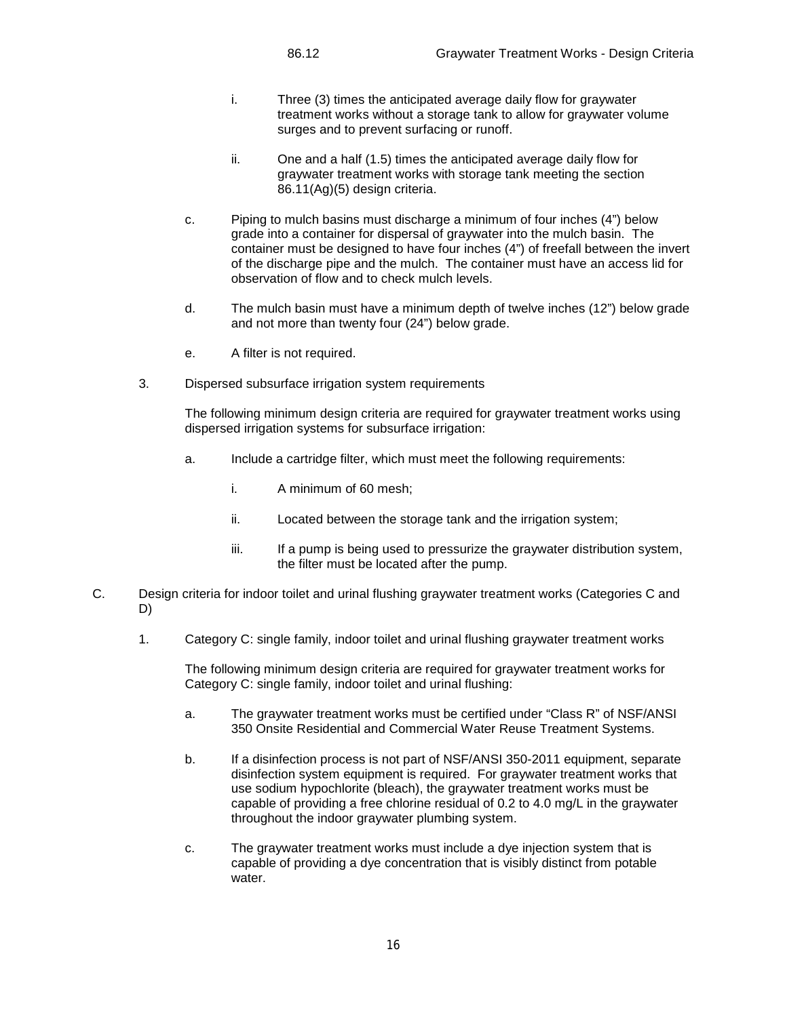- i. Three (3) times the anticipated average daily flow for graywater treatment works without a storage tank to allow for graywater volume surges and to prevent surfacing or runoff.
- ii. One and a half (1.5) times the anticipated average daily flow for graywater treatment works with storage tank meeting the section 86.11(Ag)(5) design criteria.
- c. Piping to mulch basins must discharge a minimum of four inches (4") below grade into a container for dispersal of graywater into the mulch basin. The container must be designed to have four inches (4") of freefall between the invert of the discharge pipe and the mulch. The container must have an access lid for observation of flow and to check mulch levels.
- d. The mulch basin must have a minimum depth of twelve inches (12") below grade and not more than twenty four (24") below grade.
- e. A filter is not required.
- 3. Dispersed subsurface irrigation system requirements

The following minimum design criteria are required for graywater treatment works using dispersed irrigation systems for subsurface irrigation:

- a. Include a cartridge filter, which must meet the following requirements:
	- i. A minimum of 60 mesh;
	- ii. Located between the storage tank and the irrigation system;
	- iii. If a pump is being used to pressurize the graywater distribution system, the filter must be located after the pump.
- C. Design criteria for indoor toilet and urinal flushing graywater treatment works (Categories C and D)
	- 1. Category C: single family, indoor toilet and urinal flushing graywater treatment works

The following minimum design criteria are required for graywater treatment works for Category C: single family, indoor toilet and urinal flushing:

- a. The graywater treatment works must be certified under "Class R" of NSF/ANSI 350 Onsite Residential and Commercial Water Reuse Treatment Systems.
- b. If a disinfection process is not part of NSF/ANSI 350-2011 equipment, separate disinfection system equipment is required. For graywater treatment works that use sodium hypochlorite (bleach), the graywater treatment works must be capable of providing a free chlorine residual of 0.2 to 4.0 mg/L in the graywater throughout the indoor graywater plumbing system.
- c. The graywater treatment works must include a dye injection system that is capable of providing a dye concentration that is visibly distinct from potable water.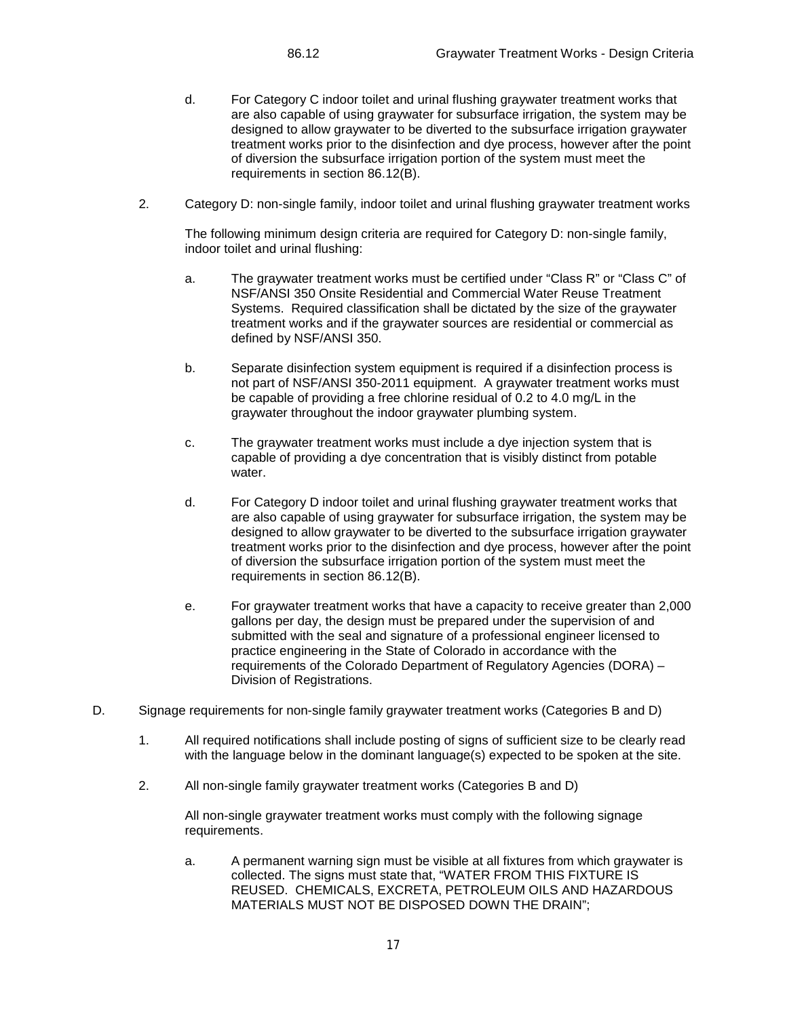- d. For Category C indoor toilet and urinal flushing graywater treatment works that are also capable of using graywater for subsurface irrigation, the system may be designed to allow graywater to be diverted to the subsurface irrigation graywater treatment works prior to the disinfection and dye process, however after the point of diversion the subsurface irrigation portion of the system must meet the requirements in section 86.12(B).
- 2. Category D: non-single family, indoor toilet and urinal flushing graywater treatment works

The following minimum design criteria are required for Category D: non-single family, indoor toilet and urinal flushing:

- a. The graywater treatment works must be certified under "Class R" or "Class C" of NSF/ANSI 350 Onsite Residential and Commercial Water Reuse Treatment Systems. Required classification shall be dictated by the size of the graywater treatment works and if the graywater sources are residential or commercial as defined by NSF/ANSI 350.
- b. Separate disinfection system equipment is required if a disinfection process is not part of NSF/ANSI 350-2011 equipment. A graywater treatment works must be capable of providing a free chlorine residual of 0.2 to 4.0 mg/L in the graywater throughout the indoor graywater plumbing system.
- c. The graywater treatment works must include a dye injection system that is capable of providing a dye concentration that is visibly distinct from potable water.
- d. For Category D indoor toilet and urinal flushing graywater treatment works that are also capable of using graywater for subsurface irrigation, the system may be designed to allow graywater to be diverted to the subsurface irrigation graywater treatment works prior to the disinfection and dye process, however after the point of diversion the subsurface irrigation portion of the system must meet the requirements in section 86.12(B).
- e. For graywater treatment works that have a capacity to receive greater than 2,000 gallons per day, the design must be prepared under the supervision of and submitted with the seal and signature of a professional engineer licensed to practice engineering in the State of Colorado in accordance with the requirements of the Colorado Department of Regulatory Agencies (DORA) – Division of Registrations.
- D. Signage requirements for non-single family graywater treatment works (Categories B and D)
	- 1. All required notifications shall include posting of signs of sufficient size to be clearly read with the language below in the dominant language(s) expected to be spoken at the site.
	- 2. All non-single family graywater treatment works (Categories B and D)

All non-single graywater treatment works must comply with the following signage requirements.

a. A permanent warning sign must be visible at all fixtures from which graywater is collected. The signs must state that, "WATER FROM THIS FIXTURE IS REUSED. CHEMICALS, EXCRETA, PETROLEUM OILS AND HAZARDOUS MATERIALS MUST NOT BE DISPOSED DOWN THE DRAIN";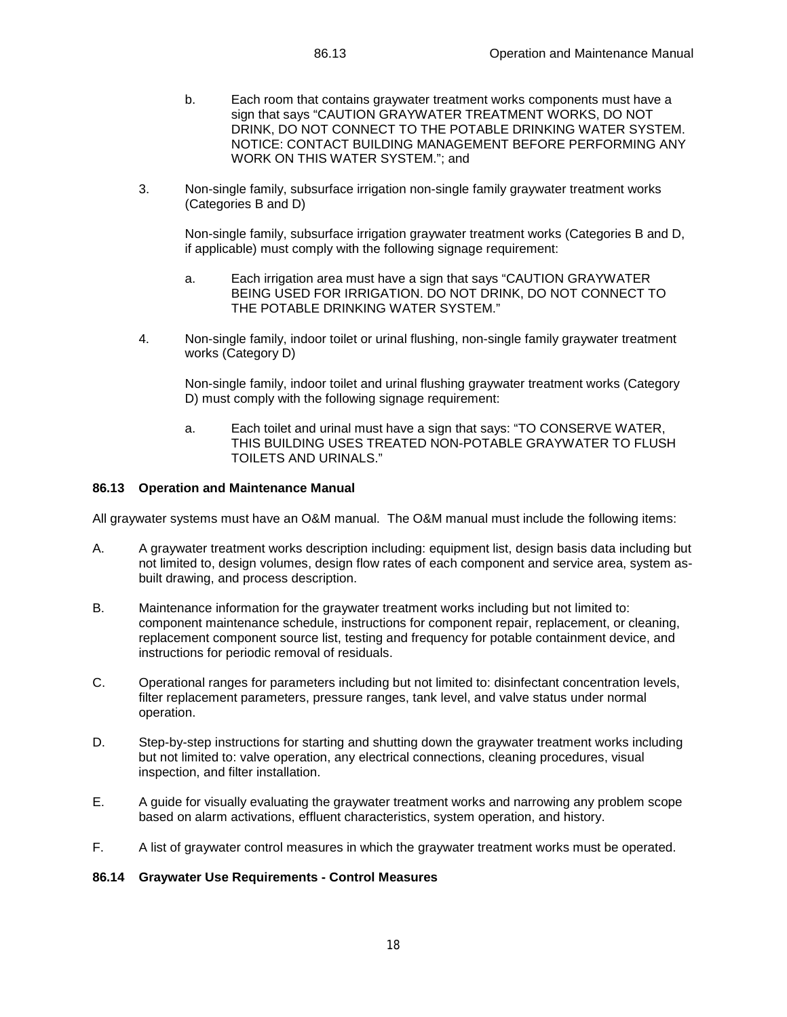- b. Each room that contains graywater treatment works components must have a sign that says "CAUTION GRAYWATER TREATMENT WORKS, DO NOT DRINK, DO NOT CONNECT TO THE POTABLE DRINKING WATER SYSTEM. NOTICE: CONTACT BUILDING MANAGEMENT BEFORE PERFORMING ANY WORK ON THIS WATER SYSTEM."; and
- 3. Non-single family, subsurface irrigation non-single family graywater treatment works (Categories B and D)

Non-single family, subsurface irrigation graywater treatment works (Categories B and D, if applicable) must comply with the following signage requirement:

- a. Each irrigation area must have a sign that says "CAUTION GRAYWATER BEING USED FOR IRRIGATION. DO NOT DRINK, DO NOT CONNECT TO THE POTABLE DRINKING WATER SYSTEM."
- 4. Non-single family, indoor toilet or urinal flushing, non-single family graywater treatment works (Category D)

Non-single family, indoor toilet and urinal flushing graywater treatment works (Category D) must comply with the following signage requirement:

a. Each toilet and urinal must have a sign that says: "TO CONSERVE WATER, THIS BUILDING USES TREATED NON-POTABLE GRAYWATER TO FLUSH TOILETS AND URINALS."

#### **86.13 Operation and Maintenance Manual**

All graywater systems must have an O&M manual. The O&M manual must include the following items:

- A. A graywater treatment works description including: equipment list, design basis data including but not limited to, design volumes, design flow rates of each component and service area, system asbuilt drawing, and process description.
- B. Maintenance information for the graywater treatment works including but not limited to: component maintenance schedule, instructions for component repair, replacement, or cleaning, replacement component source list, testing and frequency for potable containment device, and instructions for periodic removal of residuals.
- C. Operational ranges for parameters including but not limited to: disinfectant concentration levels, filter replacement parameters, pressure ranges, tank level, and valve status under normal operation.
- D. Step-by-step instructions for starting and shutting down the graywater treatment works including but not limited to: valve operation, any electrical connections, cleaning procedures, visual inspection, and filter installation.
- E. A guide for visually evaluating the graywater treatment works and narrowing any problem scope based on alarm activations, effluent characteristics, system operation, and history.
- F. A list of graywater control measures in which the graywater treatment works must be operated.

#### **86.14 Graywater Use Requirements - Control Measures**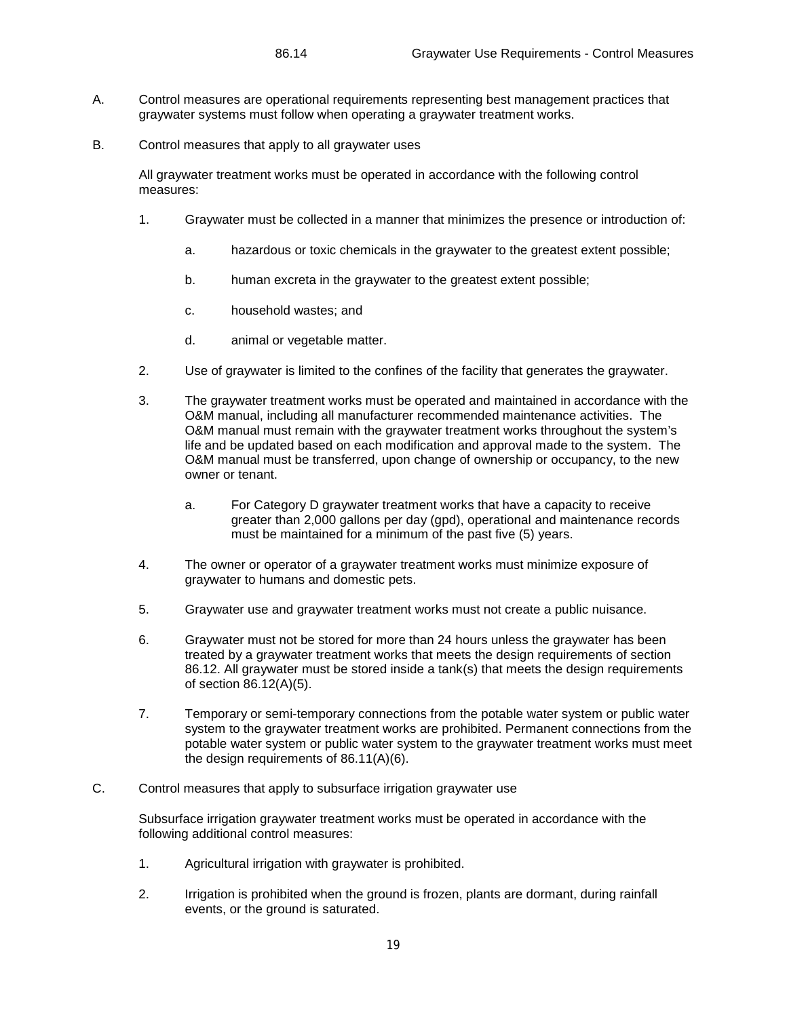- A. Control measures are operational requirements representing best management practices that graywater systems must follow when operating a graywater treatment works.
- B. Control measures that apply to all graywater uses

All graywater treatment works must be operated in accordance with the following control measures:

- 1. Graywater must be collected in a manner that minimizes the presence or introduction of:
	- a. hazardous or toxic chemicals in the graywater to the greatest extent possible;
	- b. human excreta in the graywater to the greatest extent possible;
	- c. household wastes; and
	- d. animal or vegetable matter.
- 2. Use of graywater is limited to the confines of the facility that generates the graywater.
- 3. The graywater treatment works must be operated and maintained in accordance with the O&M manual, including all manufacturer recommended maintenance activities. The O&M manual must remain with the graywater treatment works throughout the system's life and be updated based on each modification and approval made to the system. The O&M manual must be transferred, upon change of ownership or occupancy, to the new owner or tenant.
	- a. For Category D graywater treatment works that have a capacity to receive greater than 2,000 gallons per day (gpd), operational and maintenance records must be maintained for a minimum of the past five (5) years.
- 4. The owner or operator of a graywater treatment works must minimize exposure of graywater to humans and domestic pets.
- 5. Graywater use and graywater treatment works must not create a public nuisance.
- 6. Graywater must not be stored for more than 24 hours unless the graywater has been treated by a graywater treatment works that meets the design requirements of section 86.12. All graywater must be stored inside a tank(s) that meets the design requirements of section 86.12(A)(5).
- 7. Temporary or semi-temporary connections from the potable water system or public water system to the graywater treatment works are prohibited. Permanent connections from the potable water system or public water system to the graywater treatment works must meet the design requirements of 86.11(A)(6).
- C. Control measures that apply to subsurface irrigation graywater use

Subsurface irrigation graywater treatment works must be operated in accordance with the following additional control measures:

- 1. Agricultural irrigation with graywater is prohibited.
- 2. Irrigation is prohibited when the ground is frozen, plants are dormant, during rainfall events, or the ground is saturated.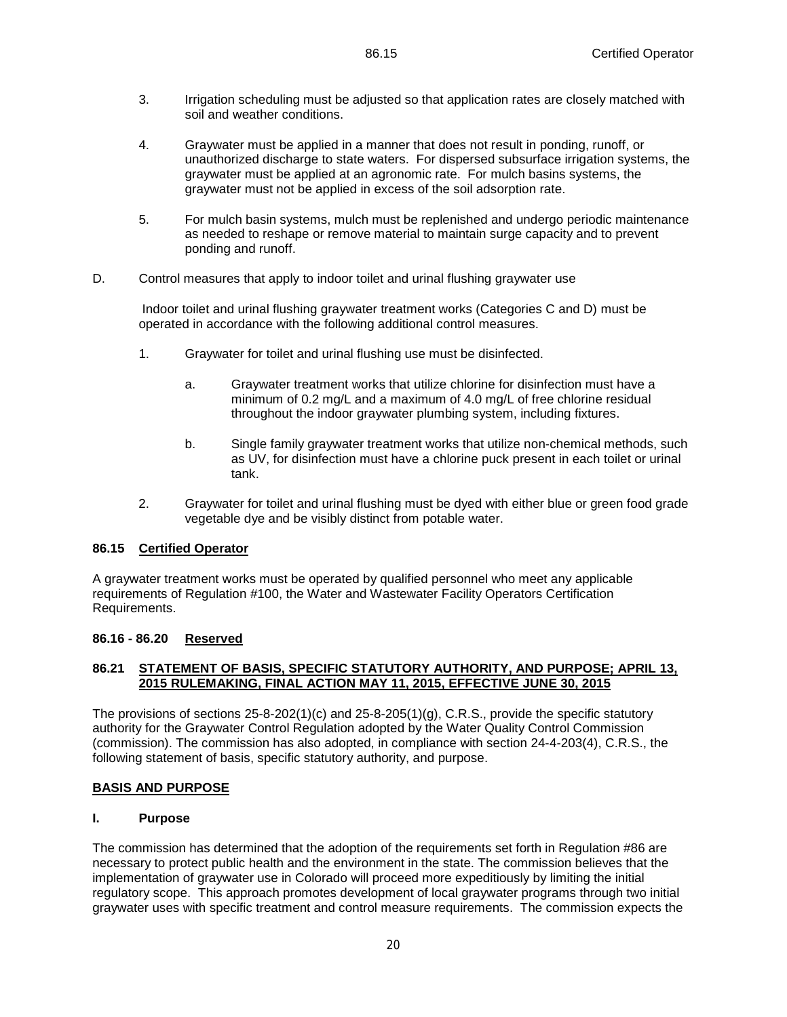- 4. Graywater must be applied in a manner that does not result in ponding, runoff, or unauthorized discharge to state waters. For dispersed subsurface irrigation systems, the graywater must be applied at an agronomic rate. For mulch basins systems, the graywater must not be applied in excess of the soil adsorption rate.
- 5. For mulch basin systems, mulch must be replenished and undergo periodic maintenance as needed to reshape or remove material to maintain surge capacity and to prevent ponding and runoff.
- D. Control measures that apply to indoor toilet and urinal flushing graywater use

Indoor toilet and urinal flushing graywater treatment works (Categories C and D) must be operated in accordance with the following additional control measures.

- 1. Graywater for toilet and urinal flushing use must be disinfected.
	- a. Graywater treatment works that utilize chlorine for disinfection must have a minimum of 0.2 mg/L and a maximum of 4.0 mg/L of free chlorine residual throughout the indoor graywater plumbing system, including fixtures.
	- b. Single family graywater treatment works that utilize non-chemical methods, such as UV, for disinfection must have a chlorine puck present in each toilet or urinal tank.
- 2. Graywater for toilet and urinal flushing must be dyed with either blue or green food grade vegetable dye and be visibly distinct from potable water.

# **86.15 Certified Operator**

A graywater treatment works must be operated by qualified personnel who meet any applicable requirements of Regulation #100, the Water and Wastewater Facility Operators Certification Requirements.

# **86.16 - 86.20 Reserved**

#### **86.21 STATEMENT OF BASIS, SPECIFIC STATUTORY AUTHORITY, AND PURPOSE; APRIL 13, 2015 RULEMAKING, FINAL ACTION MAY 11, 2015, EFFECTIVE JUNE 30, 2015**

The provisions of sections 25-8-202(1)(c) and 25-8-205(1)(g), C.R.S., provide the specific statutory authority for the Graywater Control Regulation adopted by the Water Quality Control Commission (commission). The commission has also adopted, in compliance with section 24-4-203(4), C.R.S., the following statement of basis, specific statutory authority, and purpose.

# **BASIS AND PURPOSE**

#### **I. Purpose**

The commission has determined that the adoption of the requirements set forth in Regulation #86 are necessary to protect public health and the environment in the state. The commission believes that the implementation of graywater use in Colorado will proceed more expeditiously by limiting the initial regulatory scope. This approach promotes development of local graywater programs through two initial graywater uses with specific treatment and control measure requirements. The commission expects the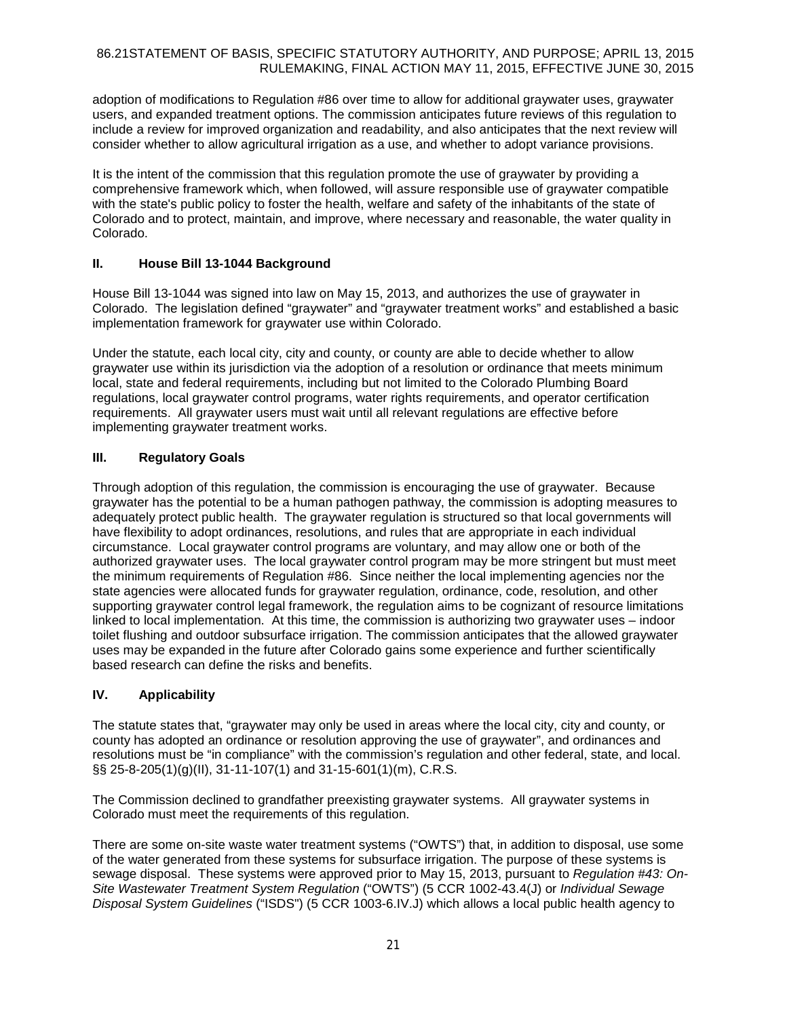adoption of modifications to Regulation #86 over time to allow for additional graywater uses, graywater users, and expanded treatment options. The commission anticipates future reviews of this regulation to include a review for improved organization and readability, and also anticipates that the next review will consider whether to allow agricultural irrigation as a use, and whether to adopt variance provisions.

It is the intent of the commission that this regulation promote the use of graywater by providing a comprehensive framework which, when followed, will assure responsible use of graywater compatible with the state's public policy to foster the health, welfare and safety of the inhabitants of the state of Colorado and to protect, maintain, and improve, where necessary and reasonable, the water quality in Colorado.

# **II. House Bill 13-1044 Background**

House Bill 13-1044 was signed into law on May 15, 2013, and authorizes the use of graywater in Colorado. The legislation defined "graywater" and "graywater treatment works" and established a basic implementation framework for graywater use within Colorado.

Under the statute, each local city, city and county, or county are able to decide whether to allow graywater use within its jurisdiction via the adoption of a resolution or ordinance that meets minimum local, state and federal requirements, including but not limited to the Colorado Plumbing Board regulations, local graywater control programs, water rights requirements, and operator certification requirements. All graywater users must wait until all relevant regulations are effective before implementing graywater treatment works.

# **III. Regulatory Goals**

Through adoption of this regulation, the commission is encouraging the use of graywater. Because graywater has the potential to be a human pathogen pathway, the commission is adopting measures to adequately protect public health. The graywater regulation is structured so that local governments will have flexibility to adopt ordinances, resolutions, and rules that are appropriate in each individual circumstance. Local graywater control programs are voluntary, and may allow one or both of the authorized graywater uses. The local graywater control program may be more stringent but must meet the minimum requirements of Regulation #86. Since neither the local implementing agencies nor the state agencies were allocated funds for graywater regulation, ordinance, code, resolution, and other supporting graywater control legal framework, the regulation aims to be cognizant of resource limitations linked to local implementation. At this time, the commission is authorizing two graywater uses – indoor toilet flushing and outdoor subsurface irrigation. The commission anticipates that the allowed graywater uses may be expanded in the future after Colorado gains some experience and further scientifically based research can define the risks and benefits.

# **IV. Applicability**

The statute states that, "graywater may only be used in areas where the local city, city and county, or county has adopted an ordinance or resolution approving the use of graywater", and ordinances and resolutions must be "in compliance" with the commission's regulation and other federal, state, and local. §§ 25-8-205(1)(g)(II), 31-11-107(1) and 31-15-601(1)(m), C.R.S.

The Commission declined to grandfather preexisting graywater systems. All graywater systems in Colorado must meet the requirements of this regulation.

There are some on-site waste water treatment systems ("OWTS") that, in addition to disposal, use some of the water generated from these systems for subsurface irrigation. The purpose of these systems is sewage disposal. These systems were approved prior to May 15, 2013, pursuant to *Regulation #43: On-Site Wastewater Treatment System Regulation* ("OWTS") (5 CCR 1002-43.4(J) or *Individual Sewage Disposal System Guidelines* ("ISDS") (5 CCR 1003-6.IV.J) which allows a local public health agency to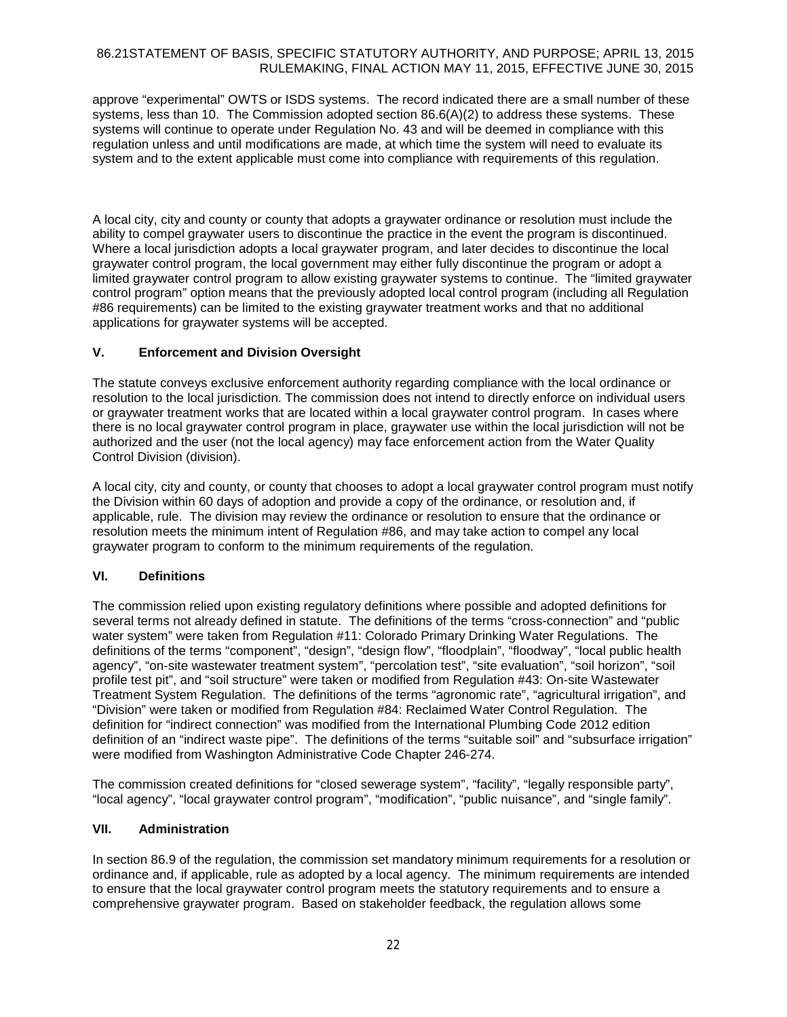approve "experimental" OWTS or ISDS systems. The record indicated there are a small number of these systems, less than 10. The Commission adopted section 86.6(A)(2) to address these systems. These systems will continue to operate under Regulation No. 43 and will be deemed in compliance with this regulation unless and until modifications are made, at which time the system will need to evaluate its system and to the extent applicable must come into compliance with requirements of this regulation.

A local city, city and county or county that adopts a graywater ordinance or resolution must include the ability to compel graywater users to discontinue the practice in the event the program is discontinued. Where a local jurisdiction adopts a local graywater program, and later decides to discontinue the local graywater control program, the local government may either fully discontinue the program or adopt a limited graywater control program to allow existing graywater systems to continue. The "limited graywater control program" option means that the previously adopted local control program (including all Regulation #86 requirements) can be limited to the existing graywater treatment works and that no additional applications for graywater systems will be accepted.

# **V. Enforcement and Division Oversight**

The statute conveys exclusive enforcement authority regarding compliance with the local ordinance or resolution to the local jurisdiction. The commission does not intend to directly enforce on individual users or graywater treatment works that are located within a local graywater control program. In cases where there is no local graywater control program in place, graywater use within the local jurisdiction will not be authorized and the user (not the local agency) may face enforcement action from the Water Quality Control Division (division).

A local city, city and county, or county that chooses to adopt a local graywater control program must notify the Division within 60 days of adoption and provide a copy of the ordinance, or resolution and, if applicable, rule. The division may review the ordinance or resolution to ensure that the ordinance or resolution meets the minimum intent of Regulation #86, and may take action to compel any local graywater program to conform to the minimum requirements of the regulation.

# **VI. Definitions**

The commission relied upon existing regulatory definitions where possible and adopted definitions for several terms not already defined in statute. The definitions of the terms "cross-connection" and "public water system" were taken from Regulation #11: Colorado Primary Drinking Water Regulations. The definitions of the terms "component", "design", "design flow", "floodplain", "floodway", "local public health agency", "on-site wastewater treatment system", "percolation test", "site evaluation", "soil horizon", "soil profile test pit", and "soil structure" were taken or modified from Regulation #43: On-site Wastewater Treatment System Regulation. The definitions of the terms "agronomic rate", "agricultural irrigation", and "Division" were taken or modified from Regulation #84: Reclaimed Water Control Regulation. The definition for "indirect connection" was modified from the International Plumbing Code 2012 edition definition of an "indirect waste pipe". The definitions of the terms "suitable soil" and "subsurface irrigation" were modified from Washington Administrative Code Chapter 246-274.

The commission created definitions for "closed sewerage system", "facility", "legally responsible party", "local agency", "local graywater control program", "modification", "public nuisance", and "single family".

# **VII. Administration**

In section 86.9 of the regulation, the commission set mandatory minimum requirements for a resolution or ordinance and, if applicable, rule as adopted by a local agency. The minimum requirements are intended to ensure that the local graywater control program meets the statutory requirements and to ensure a comprehensive graywater program. Based on stakeholder feedback, the regulation allows some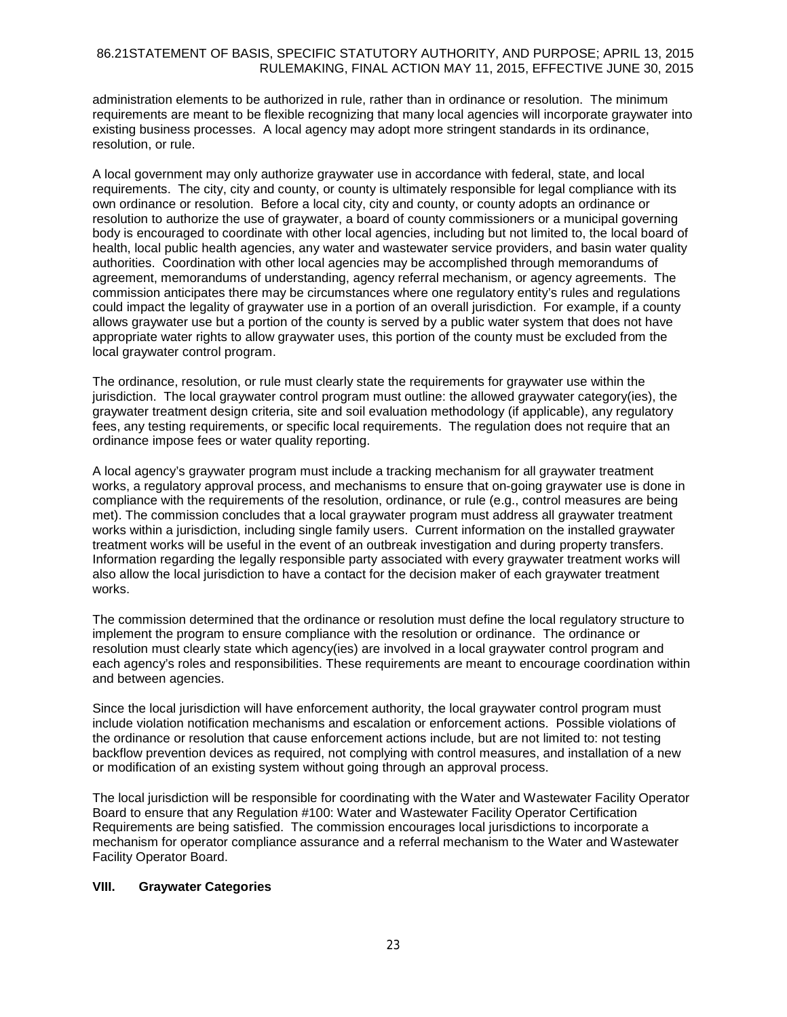administration elements to be authorized in rule, rather than in ordinance or resolution. The minimum requirements are meant to be flexible recognizing that many local agencies will incorporate graywater into existing business processes. A local agency may adopt more stringent standards in its ordinance, resolution, or rule.

A local government may only authorize graywater use in accordance with federal, state, and local requirements. The city, city and county, or county is ultimately responsible for legal compliance with its own ordinance or resolution. Before a local city, city and county, or county adopts an ordinance or resolution to authorize the use of graywater, a board of county commissioners or a municipal governing body is encouraged to coordinate with other local agencies, including but not limited to, the local board of health, local public health agencies, any water and wastewater service providers, and basin water quality authorities. Coordination with other local agencies may be accomplished through memorandums of agreement, memorandums of understanding, agency referral mechanism, or agency agreements. The commission anticipates there may be circumstances where one regulatory entity's rules and regulations could impact the legality of graywater use in a portion of an overall jurisdiction. For example, if a county allows graywater use but a portion of the county is served by a public water system that does not have appropriate water rights to allow graywater uses, this portion of the county must be excluded from the local graywater control program.

The ordinance, resolution, or rule must clearly state the requirements for graywater use within the jurisdiction. The local graywater control program must outline: the allowed graywater category(ies), the graywater treatment design criteria, site and soil evaluation methodology (if applicable), any regulatory fees, any testing requirements, or specific local requirements. The regulation does not require that an ordinance impose fees or water quality reporting.

A local agency's graywater program must include a tracking mechanism for all graywater treatment works, a regulatory approval process, and mechanisms to ensure that on-going graywater use is done in compliance with the requirements of the resolution, ordinance, or rule (e.g., control measures are being met). The commission concludes that a local graywater program must address all graywater treatment works within a jurisdiction, including single family users. Current information on the installed graywater treatment works will be useful in the event of an outbreak investigation and during property transfers. Information regarding the legally responsible party associated with every graywater treatment works will also allow the local jurisdiction to have a contact for the decision maker of each graywater treatment works.

The commission determined that the ordinance or resolution must define the local regulatory structure to implement the program to ensure compliance with the resolution or ordinance. The ordinance or resolution must clearly state which agency(ies) are involved in a local graywater control program and each agency's roles and responsibilities. These requirements are meant to encourage coordination within and between agencies.

Since the local jurisdiction will have enforcement authority, the local graywater control program must include violation notification mechanisms and escalation or enforcement actions. Possible violations of the ordinance or resolution that cause enforcement actions include, but are not limited to: not testing backflow prevention devices as required, not complying with control measures, and installation of a new or modification of an existing system without going through an approval process.

The local jurisdiction will be responsible for coordinating with the Water and Wastewater Facility Operator Board to ensure that any Regulation #100: Water and Wastewater Facility Operator Certification Requirements are being satisfied. The commission encourages local jurisdictions to incorporate a mechanism for operator compliance assurance and a referral mechanism to the Water and Wastewater Facility Operator Board.

#### **VIII. Graywater Categories**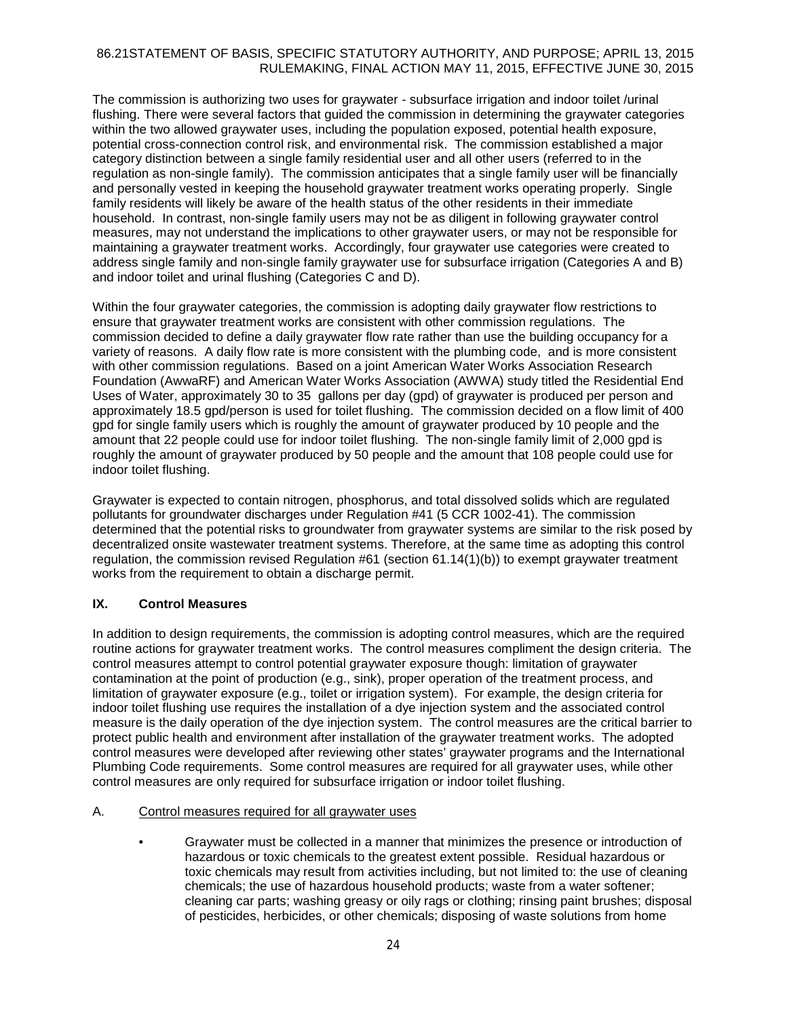The commission is authorizing two uses for graywater - subsurface irrigation and indoor toilet /urinal flushing. There were several factors that guided the commission in determining the graywater categories within the two allowed graywater uses, including the population exposed, potential health exposure, potential cross-connection control risk, and environmental risk. The commission established a major category distinction between a single family residential user and all other users (referred to in the regulation as non-single family). The commission anticipates that a single family user will be financially and personally vested in keeping the household graywater treatment works operating properly. Single family residents will likely be aware of the health status of the other residents in their immediate household. In contrast, non-single family users may not be as diligent in following graywater control measures, may not understand the implications to other graywater users, or may not be responsible for maintaining a graywater treatment works. Accordingly, four graywater use categories were created to address single family and non-single family graywater use for subsurface irrigation (Categories A and B) and indoor toilet and urinal flushing (Categories C and D).

Within the four graywater categories, the commission is adopting daily graywater flow restrictions to ensure that graywater treatment works are consistent with other commission regulations. The commission decided to define a daily graywater flow rate rather than use the building occupancy for a variety of reasons. A daily flow rate is more consistent with the plumbing code, and is more consistent with other commission regulations. Based on a joint American Water Works Association Research Foundation (AwwaRF) and American Water Works Association (AWWA) study titled the Residential End Uses of Water, approximately 30 to 35 gallons per day (gpd) of graywater is produced per person and approximately 18.5 gpd/person is used for toilet flushing. The commission decided on a flow limit of 400 gpd for single family users which is roughly the amount of graywater produced by 10 people and the amount that 22 people could use for indoor toilet flushing. The non-single family limit of 2,000 gpd is roughly the amount of graywater produced by 50 people and the amount that 108 people could use for indoor toilet flushing.

Graywater is expected to contain nitrogen, phosphorus, and total dissolved solids which are regulated pollutants for groundwater discharges under Regulation #41 (5 CCR 1002-41). The commission determined that the potential risks to groundwater from graywater systems are similar to the risk posed by decentralized onsite wastewater treatment systems. Therefore, at the same time as adopting this control regulation, the commission revised Regulation #61 (section 61.14(1)(b)) to exempt graywater treatment works from the requirement to obtain a discharge permit.

# **IX. Control Measures**

In addition to design requirements, the commission is adopting control measures, which are the required routine actions for graywater treatment works. The control measures compliment the design criteria. The control measures attempt to control potential graywater exposure though: limitation of graywater contamination at the point of production (e.g., sink), proper operation of the treatment process, and limitation of graywater exposure (e.g., toilet or irrigation system). For example, the design criteria for indoor toilet flushing use requires the installation of a dye injection system and the associated control measure is the daily operation of the dye injection system. The control measures are the critical barrier to protect public health and environment after installation of the graywater treatment works. The adopted control measures were developed after reviewing other states' graywater programs and the International Plumbing Code requirements. Some control measures are required for all graywater uses, while other control measures are only required for subsurface irrigation or indoor toilet flushing.

# A. Control measures required for all graywater uses

• Graywater must be collected in a manner that minimizes the presence or introduction of hazardous or toxic chemicals to the greatest extent possible. Residual hazardous or toxic chemicals may result from activities including, but not limited to: the use of cleaning chemicals; the use of hazardous household products; waste from a water softener; cleaning car parts; washing greasy or oily rags or clothing; rinsing paint brushes; disposal of pesticides, herbicides, or other chemicals; disposing of waste solutions from home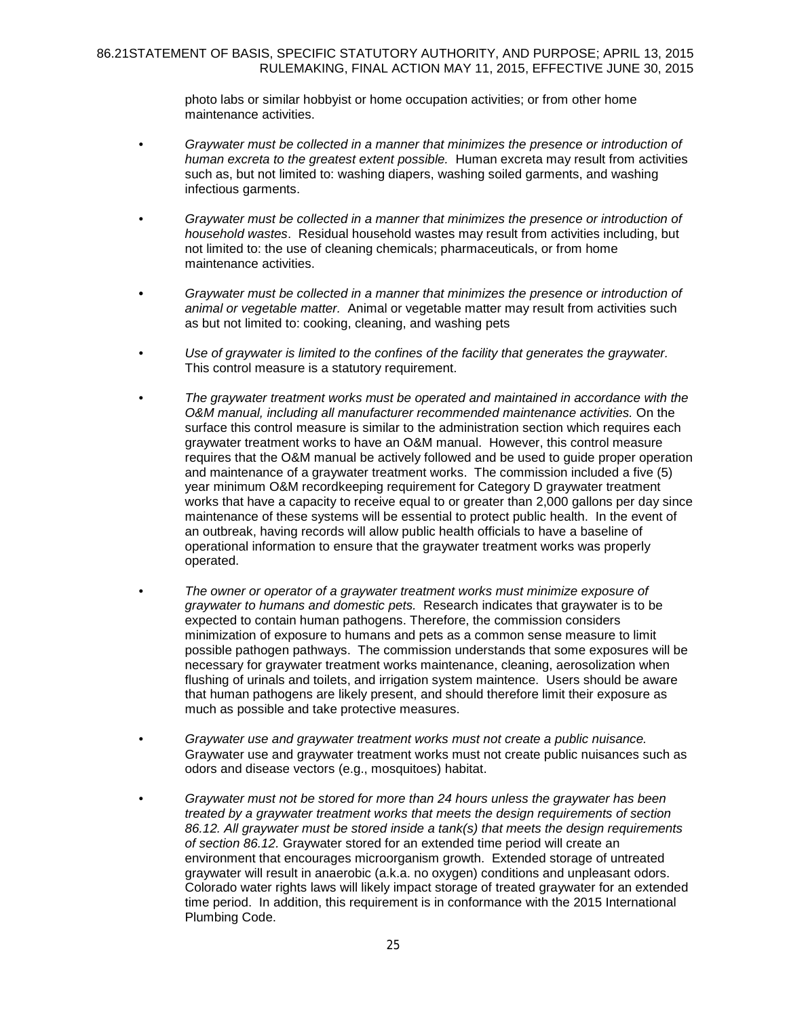photo labs or similar hobbyist or home occupation activities; or from other home maintenance activities.

- *Graywater must be collected in a manner that minimizes the presence or introduction of human excreta to the greatest extent possible.* Human excreta may result from activities such as, but not limited to: washing diapers, washing soiled garments, and washing infectious garments.
- *Graywater must be collected in a manner that minimizes the presence or introduction of household wastes*. Residual household wastes may result from activities including, but not limited to: the use of cleaning chemicals; pharmaceuticals, or from home maintenance activities.
- **•** *Graywater must be collected in a manner that minimizes the presence or introduction of animal or vegetable matter.* Animal or vegetable matter may result from activities such as but not limited to: cooking, cleaning, and washing pets
- *Use of graywater is limited to the confines of the facility that generates the graywater.* This control measure is a statutory requirement.
- *The graywater treatment works must be operated and maintained in accordance with the O&M manual, including all manufacturer recommended maintenance activities.* On the surface this control measure is similar to the administration section which requires each graywater treatment works to have an O&M manual. However, this control measure requires that the O&M manual be actively followed and be used to guide proper operation and maintenance of a graywater treatment works. The commission included a five (5) year minimum O&M recordkeeping requirement for Category D graywater treatment works that have a capacity to receive equal to or greater than 2,000 gallons per day since maintenance of these systems will be essential to protect public health. In the event of an outbreak, having records will allow public health officials to have a baseline of operational information to ensure that the graywater treatment works was properly operated.
- *The owner or operator of a graywater treatment works must minimize exposure of graywater to humans and domestic pets.* Research indicates that graywater is to be expected to contain human pathogens. Therefore, the commission considers minimization of exposure to humans and pets as a common sense measure to limit possible pathogen pathways. The commission understands that some exposures will be necessary for graywater treatment works maintenance, cleaning, aerosolization when flushing of urinals and toilets, and irrigation system maintence. Users should be aware that human pathogens are likely present, and should therefore limit their exposure as much as possible and take protective measures.
- *Graywater use and graywater treatment works must not create a public nuisance.* Graywater use and graywater treatment works must not create public nuisances such as odors and disease vectors (e.g., mosquitoes) habitat.
- *Graywater must not be stored for more than 24 hours unless the graywater has been treated by a graywater treatment works that meets the design requirements of section 86.12. All graywater must be stored inside a tank(s) that meets the design requirements of section 86.12.* Graywater stored for an extended time period will create an environment that encourages microorganism growth. Extended storage of untreated graywater will result in anaerobic (a.k.a. no oxygen) conditions and unpleasant odors. Colorado water rights laws will likely impact storage of treated graywater for an extended time period. In addition, this requirement is in conformance with the 2015 International Plumbing Code.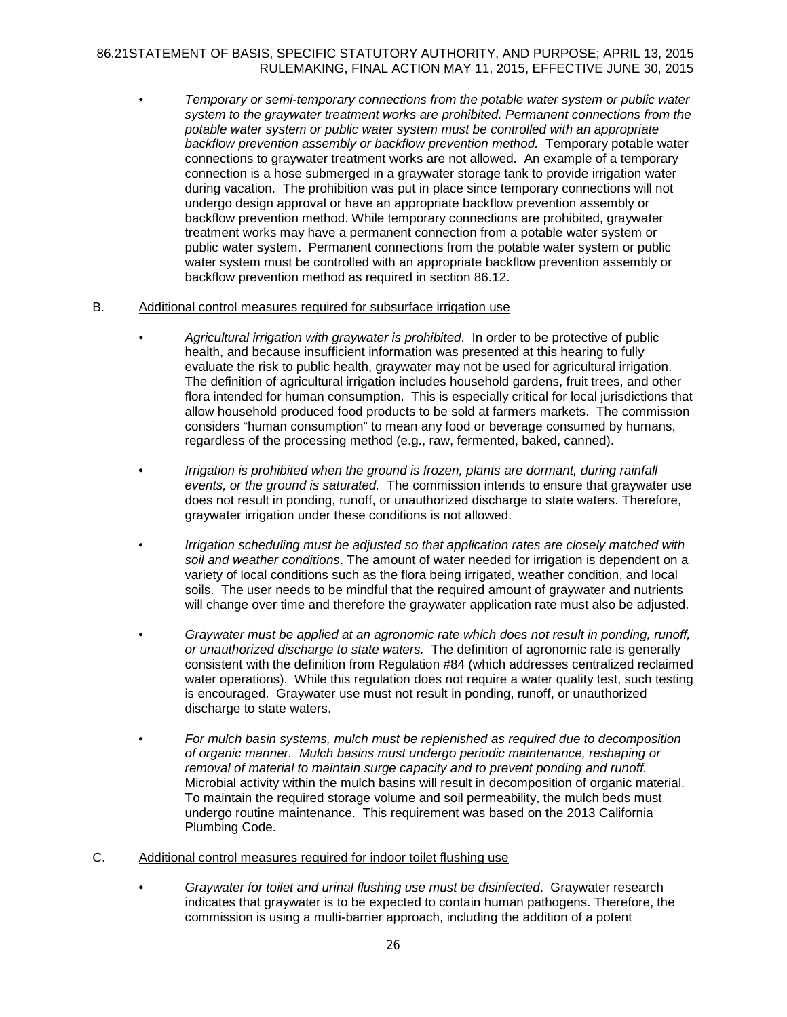• *Temporary or semi-temporary connections from the potable water system or public water system to the graywater treatment works are prohibited. Permanent connections from the potable water system or public water system must be controlled with an appropriate backflow prevention assembly or backflow prevention method.* Temporary potable water connections to graywater treatment works are not allowed. An example of a temporary connection is a hose submerged in a graywater storage tank to provide irrigation water during vacation. The prohibition was put in place since temporary connections will not undergo design approval or have an appropriate backflow prevention assembly or backflow prevention method. While temporary connections are prohibited, graywater treatment works may have a permanent connection from a potable water system or public water system. Permanent connections from the potable water system or public water system must be controlled with an appropriate backflow prevention assembly or backflow prevention method as required in section 86.12.

#### B. Additional control measures required for subsurface irrigation use

- *Agricultural irrigation with graywater is prohibited*. In order to be protective of public health, and because insufficient information was presented at this hearing to fully evaluate the risk to public health, graywater may not be used for agricultural irrigation. The definition of agricultural irrigation includes household gardens, fruit trees, and other flora intended for human consumption. This is especially critical for local jurisdictions that allow household produced food products to be sold at farmers markets. The commission considers "human consumption" to mean any food or beverage consumed by humans, regardless of the processing method (e.g., raw, fermented, baked, canned).
- *Irrigation is prohibited when the ground is frozen, plants are dormant, during rainfall events, or the ground is saturated.* The commission intends to ensure that graywater use does not result in ponding, runoff, or unauthorized discharge to state waters. Therefore, graywater irrigation under these conditions is not allowed.
- *Irrigation scheduling must be adjusted so that application rates are closely matched with soil and weather conditions*. The amount of water needed for irrigation is dependent on a variety of local conditions such as the flora being irrigated, weather condition, and local soils. The user needs to be mindful that the required amount of graywater and nutrients will change over time and therefore the graywater application rate must also be adjusted.
- *Graywater must be applied at an agronomic rate which does not result in ponding, runoff, or unauthorized discharge to state waters.* The definition of agronomic rate is generally consistent with the definition from Regulation #84 (which addresses centralized reclaimed water operations). While this regulation does not require a water quality test, such testing is encouraged. Graywater use must not result in ponding, runoff, or unauthorized discharge to state waters.
- *For mulch basin systems, mulch must be replenished as required due to decomposition of organic manner. Mulch basins must undergo periodic maintenance, reshaping or removal of material to maintain surge capacity and to prevent ponding and runoff.* Microbial activity within the mulch basins will result in decomposition of organic material. To maintain the required storage volume and soil permeability, the mulch beds must undergo routine maintenance. This requirement was based on the 2013 California Plumbing Code.
- C. Additional control measures required for indoor toilet flushing use
	- *Graywater for toilet and urinal flushing use must be disinfected*. Graywater research indicates that graywater is to be expected to contain human pathogens. Therefore, the commission is using a multi-barrier approach, including the addition of a potent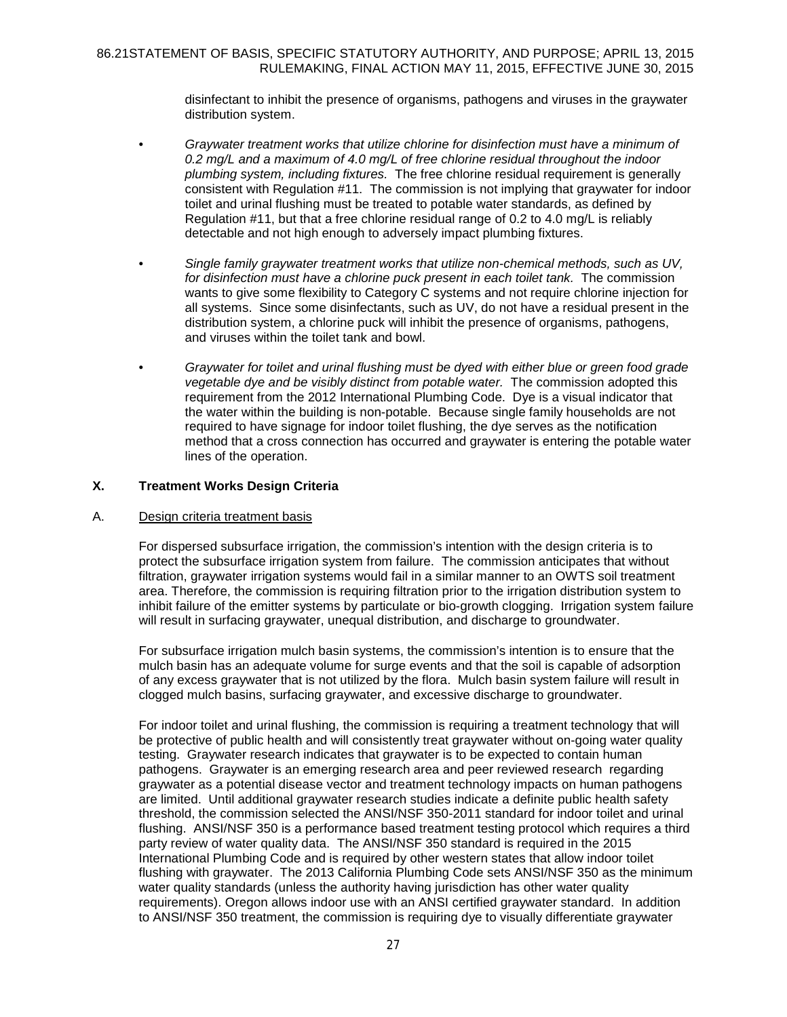disinfectant to inhibit the presence of organisms, pathogens and viruses in the graywater distribution system.

- *Graywater treatment works that utilize chlorine for disinfection must have a minimum of 0.2 mg/L and a maximum of 4.0 mg/L of free chlorine residual throughout the indoor plumbing system, including fixtures.* The free chlorine residual requirement is generally consistent with Regulation #11. The commission is not implying that graywater for indoor toilet and urinal flushing must be treated to potable water standards, as defined by Regulation #11, but that a free chlorine residual range of 0.2 to 4.0 mg/L is reliably detectable and not high enough to adversely impact plumbing fixtures.
- *Single family graywater treatment works that utilize non-chemical methods, such as UV, for disinfection must have a chlorine puck present in each toilet tank.* The commission wants to give some flexibility to Category C systems and not require chlorine injection for all systems. Since some disinfectants, such as UV, do not have a residual present in the distribution system, a chlorine puck will inhibit the presence of organisms, pathogens, and viruses within the toilet tank and bowl.
- *Graywater for toilet and urinal flushing must be dyed with either blue or green food grade vegetable dye and be visibly distinct from potable water.* The commission adopted this requirement from the 2012 International Plumbing Code. Dye is a visual indicator that the water within the building is non-potable. Because single family households are not required to have signage for indoor toilet flushing, the dye serves as the notification method that a cross connection has occurred and graywater is entering the potable water lines of the operation.

### **X. Treatment Works Design Criteria**

#### A. Design criteria treatment basis

For dispersed subsurface irrigation, the commission's intention with the design criteria is to protect the subsurface irrigation system from failure. The commission anticipates that without filtration, graywater irrigation systems would fail in a similar manner to an OWTS soil treatment area. Therefore, the commission is requiring filtration prior to the irrigation distribution system to inhibit failure of the emitter systems by particulate or bio-growth clogging. Irrigation system failure will result in surfacing graywater, unequal distribution, and discharge to groundwater.

For subsurface irrigation mulch basin systems, the commission's intention is to ensure that the mulch basin has an adequate volume for surge events and that the soil is capable of adsorption of any excess graywater that is not utilized by the flora. Mulch basin system failure will result in clogged mulch basins, surfacing graywater, and excessive discharge to groundwater.

For indoor toilet and urinal flushing, the commission is requiring a treatment technology that will be protective of public health and will consistently treat graywater without on-going water quality testing. Graywater research indicates that graywater is to be expected to contain human pathogens. Graywater is an emerging research area and peer reviewed research regarding graywater as a potential disease vector and treatment technology impacts on human pathogens are limited. Until additional graywater research studies indicate a definite public health safety threshold, the commission selected the ANSI/NSF 350-2011 standard for indoor toilet and urinal flushing. ANSI/NSF 350 is a performance based treatment testing protocol which requires a third party review of water quality data. The ANSI/NSF 350 standard is required in the 2015 International Plumbing Code and is required by other western states that allow indoor toilet flushing with graywater. The 2013 California Plumbing Code sets ANSI/NSF 350 as the minimum water quality standards (unless the authority having jurisdiction has other water quality requirements). Oregon allows indoor use with an ANSI certified graywater standard. In addition to ANSI/NSF 350 treatment, the commission is requiring dye to visually differentiate graywater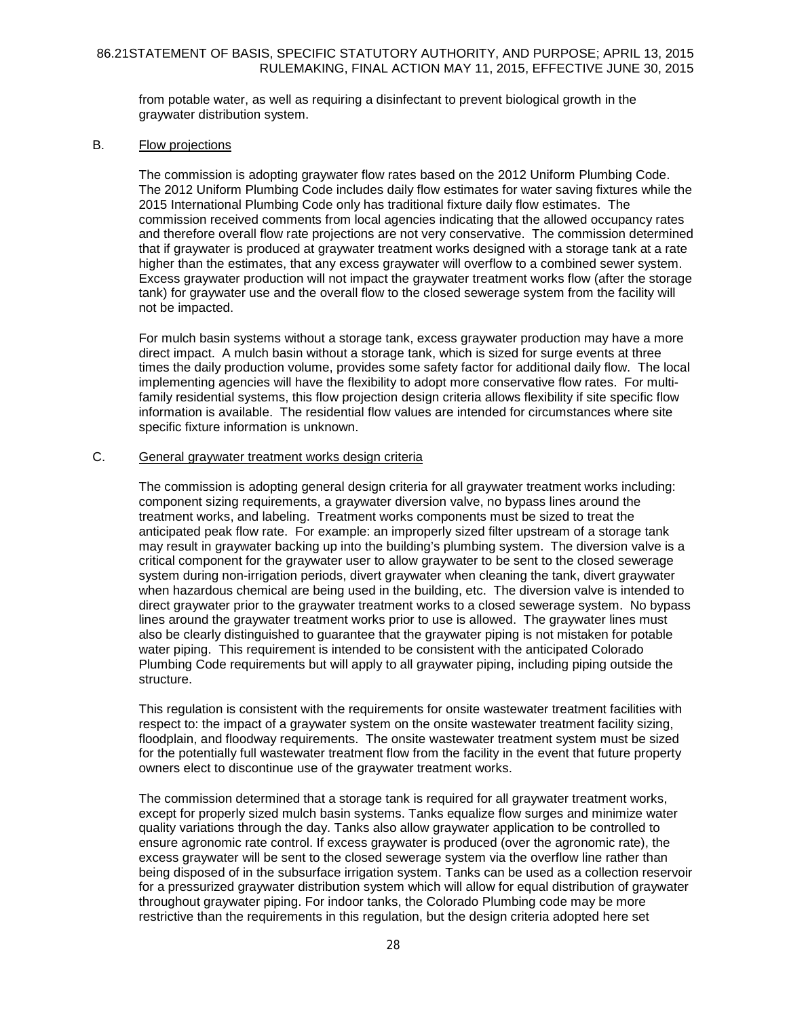from potable water, as well as requiring a disinfectant to prevent biological growth in the graywater distribution system.

#### B. Flow projections

The commission is adopting graywater flow rates based on the 2012 Uniform Plumbing Code. The 2012 Uniform Plumbing Code includes daily flow estimates for water saving fixtures while the 2015 International Plumbing Code only has traditional fixture daily flow estimates. The commission received comments from local agencies indicating that the allowed occupancy rates and therefore overall flow rate projections are not very conservative. The commission determined that if graywater is produced at graywater treatment works designed with a storage tank at a rate higher than the estimates, that any excess graywater will overflow to a combined sewer system. Excess graywater production will not impact the graywater treatment works flow (after the storage tank) for graywater use and the overall flow to the closed sewerage system from the facility will not be impacted.

For mulch basin systems without a storage tank, excess graywater production may have a more direct impact. A mulch basin without a storage tank, which is sized for surge events at three times the daily production volume, provides some safety factor for additional daily flow. The local implementing agencies will have the flexibility to adopt more conservative flow rates. For multifamily residential systems, this flow projection design criteria allows flexibility if site specific flow information is available. The residential flow values are intended for circumstances where site specific fixture information is unknown.

#### C. General graywater treatment works design criteria

The commission is adopting general design criteria for all graywater treatment works including: component sizing requirements, a graywater diversion valve, no bypass lines around the treatment works, and labeling. Treatment works components must be sized to treat the anticipated peak flow rate. For example: an improperly sized filter upstream of a storage tank may result in graywater backing up into the building's plumbing system. The diversion valve is a critical component for the graywater user to allow graywater to be sent to the closed sewerage system during non-irrigation periods, divert graywater when cleaning the tank, divert graywater when hazardous chemical are being used in the building, etc. The diversion valve is intended to direct graywater prior to the graywater treatment works to a closed sewerage system. No bypass lines around the graywater treatment works prior to use is allowed. The graywater lines must also be clearly distinguished to guarantee that the graywater piping is not mistaken for potable water piping. This requirement is intended to be consistent with the anticipated Colorado Plumbing Code requirements but will apply to all graywater piping, including piping outside the structure.

This regulation is consistent with the requirements for onsite wastewater treatment facilities with respect to: the impact of a graywater system on the onsite wastewater treatment facility sizing, floodplain, and floodway requirements. The onsite wastewater treatment system must be sized for the potentially full wastewater treatment flow from the facility in the event that future property owners elect to discontinue use of the graywater treatment works.

The commission determined that a storage tank is required for all graywater treatment works, except for properly sized mulch basin systems. Tanks equalize flow surges and minimize water quality variations through the day. Tanks also allow graywater application to be controlled to ensure agronomic rate control. If excess graywater is produced (over the agronomic rate), the excess graywater will be sent to the closed sewerage system via the overflow line rather than being disposed of in the subsurface irrigation system. Tanks can be used as a collection reservoir for a pressurized graywater distribution system which will allow for equal distribution of graywater throughout graywater piping. For indoor tanks, the Colorado Plumbing code may be more restrictive than the requirements in this regulation, but the design criteria adopted here set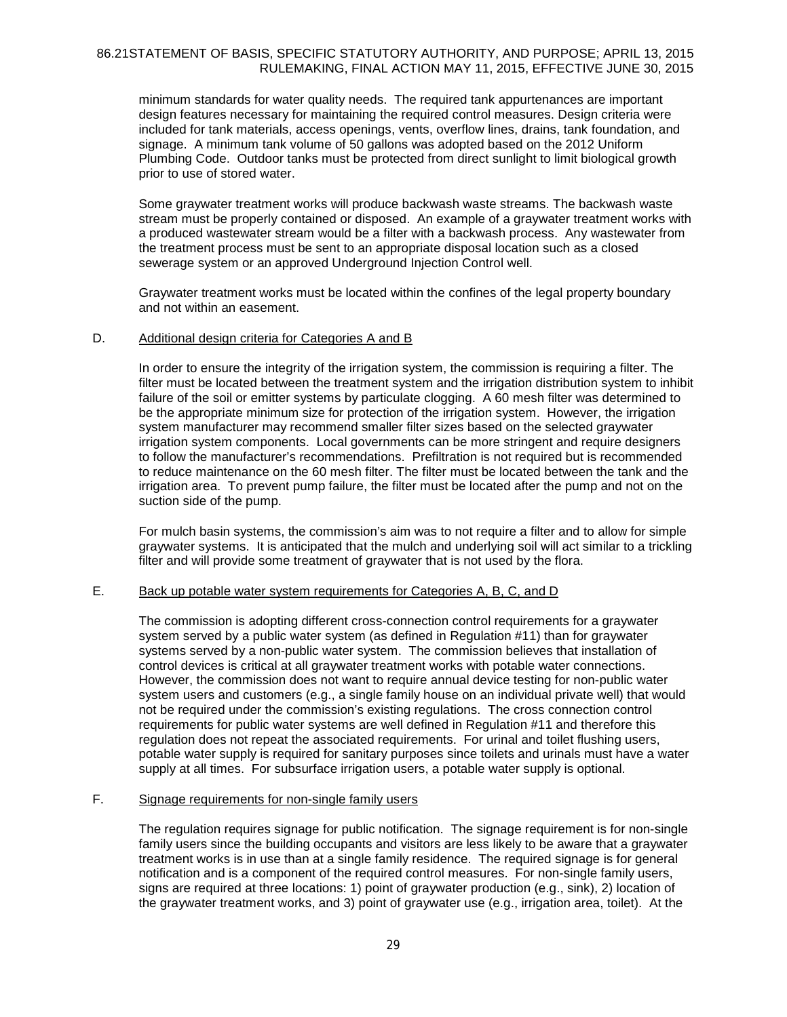minimum standards for water quality needs. The required tank appurtenances are important design features necessary for maintaining the required control measures. Design criteria were included for tank materials, access openings, vents, overflow lines, drains, tank foundation, and signage. A minimum tank volume of 50 gallons was adopted based on the 2012 Uniform Plumbing Code. Outdoor tanks must be protected from direct sunlight to limit biological growth prior to use of stored water.

Some graywater treatment works will produce backwash waste streams. The backwash waste stream must be properly contained or disposed. An example of a graywater treatment works with a produced wastewater stream would be a filter with a backwash process. Any wastewater from the treatment process must be sent to an appropriate disposal location such as a closed sewerage system or an approved Underground Injection Control well.

Graywater treatment works must be located within the confines of the legal property boundary and not within an easement.

#### D. Additional design criteria for Categories A and B

In order to ensure the integrity of the irrigation system, the commission is requiring a filter. The filter must be located between the treatment system and the irrigation distribution system to inhibit failure of the soil or emitter systems by particulate clogging. A 60 mesh filter was determined to be the appropriate minimum size for protection of the irrigation system. However, the irrigation system manufacturer may recommend smaller filter sizes based on the selected graywater irrigation system components. Local governments can be more stringent and require designers to follow the manufacturer's recommendations. Prefiltration is not required but is recommended to reduce maintenance on the 60 mesh filter. The filter must be located between the tank and the irrigation area. To prevent pump failure, the filter must be located after the pump and not on the suction side of the pump.

For mulch basin systems, the commission's aim was to not require a filter and to allow for simple graywater systems. It is anticipated that the mulch and underlying soil will act similar to a trickling filter and will provide some treatment of graywater that is not used by the flora.

### E. Back up potable water system requirements for Categories A, B, C, and D

The commission is adopting different cross-connection control requirements for a graywater system served by a public water system (as defined in Regulation #11) than for graywater systems served by a non-public water system. The commission believes that installation of control devices is critical at all graywater treatment works with potable water connections. However, the commission does not want to require annual device testing for non-public water system users and customers (e.g., a single family house on an individual private well) that would not be required under the commission's existing regulations. The cross connection control requirements for public water systems are well defined in Regulation #11 and therefore this regulation does not repeat the associated requirements. For urinal and toilet flushing users, potable water supply is required for sanitary purposes since toilets and urinals must have a water supply at all times. For subsurface irrigation users, a potable water supply is optional.

# F. Signage requirements for non-single family users

The regulation requires signage for public notification. The signage requirement is for non-single family users since the building occupants and visitors are less likely to be aware that a graywater treatment works is in use than at a single family residence. The required signage is for general notification and is a component of the required control measures. For non-single family users, signs are required at three locations: 1) point of graywater production (e.g., sink), 2) location of the graywater treatment works, and 3) point of graywater use (e.g., irrigation area, toilet). At the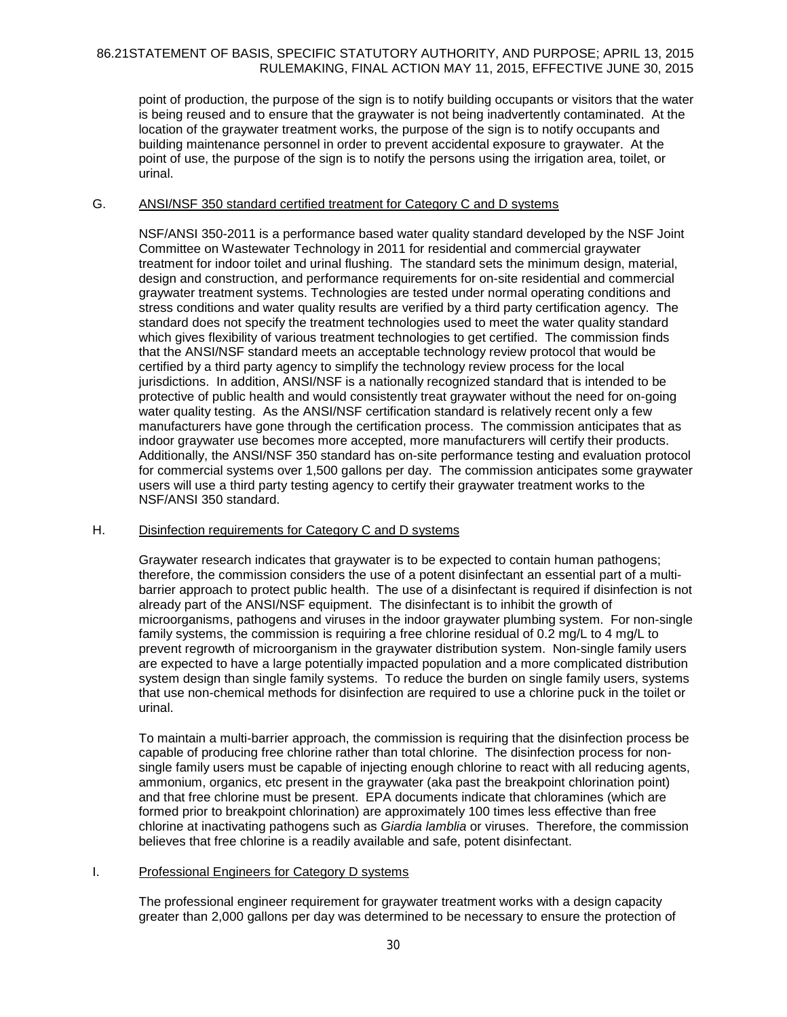point of production, the purpose of the sign is to notify building occupants or visitors that the water is being reused and to ensure that the graywater is not being inadvertently contaminated. At the location of the graywater treatment works, the purpose of the sign is to notify occupants and building maintenance personnel in order to prevent accidental exposure to graywater. At the point of use, the purpose of the sign is to notify the persons using the irrigation area, toilet, or urinal.

#### G. ANSI/NSF 350 standard certified treatment for Category C and D systems

NSF/ANSI 350-2011 is a performance based water quality standard developed by the NSF Joint Committee on Wastewater Technology in 2011 for residential and commercial graywater treatment for indoor toilet and urinal flushing. The standard sets the minimum design, material, design and construction, and performance requirements for on-site residential and commercial graywater treatment systems. Technologies are tested under normal operating conditions and stress conditions and water quality results are verified by a third party certification agency. The standard does not specify the treatment technologies used to meet the water quality standard which gives flexibility of various treatment technologies to get certified. The commission finds that the ANSI/NSF standard meets an acceptable technology review protocol that would be certified by a third party agency to simplify the technology review process for the local jurisdictions. In addition, ANSI/NSF is a nationally recognized standard that is intended to be protective of public health and would consistently treat graywater without the need for on-going water quality testing. As the ANSI/NSF certification standard is relatively recent only a few manufacturers have gone through the certification process. The commission anticipates that as indoor graywater use becomes more accepted, more manufacturers will certify their products. Additionally, the ANSI/NSF 350 standard has on-site performance testing and evaluation protocol for commercial systems over 1,500 gallons per day. The commission anticipates some graywater users will use a third party testing agency to certify their graywater treatment works to the NSF/ANSI 350 standard.

#### H. Disinfection requirements for Category C and D systems

Graywater research indicates that graywater is to be expected to contain human pathogens; therefore, the commission considers the use of a potent disinfectant an essential part of a multibarrier approach to protect public health. The use of a disinfectant is required if disinfection is not already part of the ANSI/NSF equipment. The disinfectant is to inhibit the growth of microorganisms, pathogens and viruses in the indoor graywater plumbing system. For non-single family systems, the commission is requiring a free chlorine residual of 0.2 mg/L to 4 mg/L to prevent regrowth of microorganism in the graywater distribution system. Non-single family users are expected to have a large potentially impacted population and a more complicated distribution system design than single family systems. To reduce the burden on single family users, systems that use non-chemical methods for disinfection are required to use a chlorine puck in the toilet or urinal.

To maintain a multi-barrier approach, the commission is requiring that the disinfection process be capable of producing free chlorine rather than total chlorine. The disinfection process for nonsingle family users must be capable of injecting enough chlorine to react with all reducing agents, ammonium, organics, etc present in the graywater (aka past the breakpoint chlorination point) and that free chlorine must be present. EPA documents indicate that chloramines (which are formed prior to breakpoint chlorination) are approximately 100 times less effective than free chlorine at inactivating pathogens such as *Giardia lamblia* or viruses. Therefore, the commission believes that free chlorine is a readily available and safe, potent disinfectant.

#### I. Professional Engineers for Category D systems

The professional engineer requirement for graywater treatment works with a design capacity greater than 2,000 gallons per day was determined to be necessary to ensure the protection of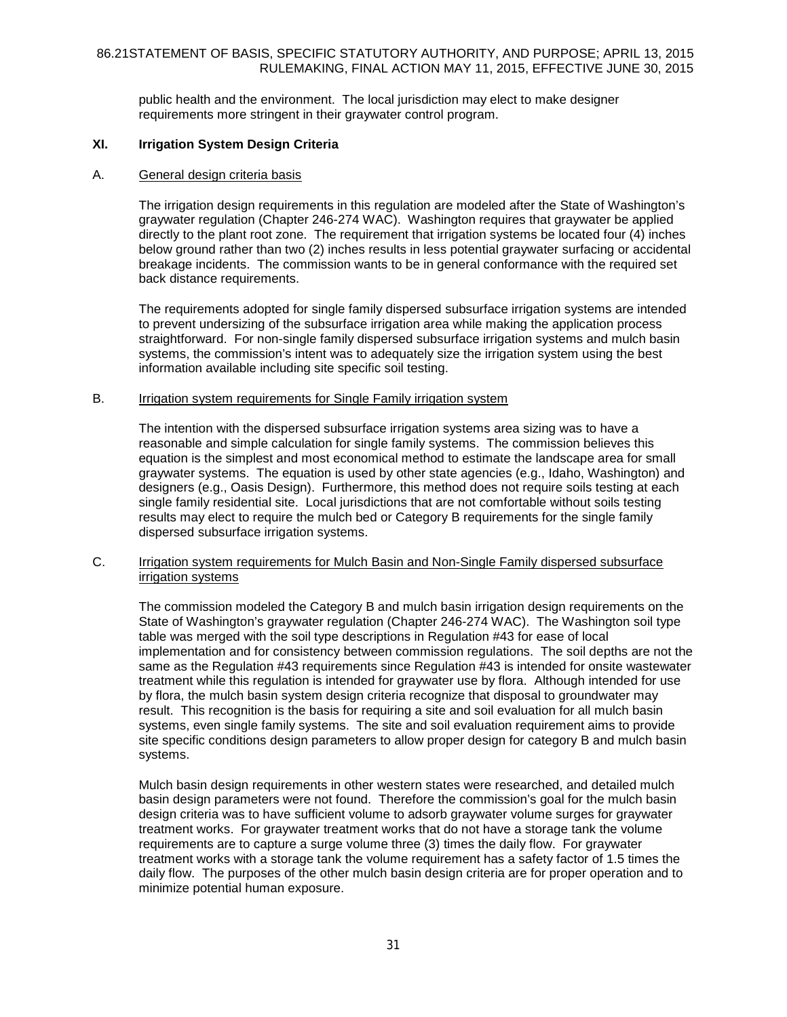public health and the environment. The local jurisdiction may elect to make designer requirements more stringent in their graywater control program.

#### **XI. Irrigation System Design Criteria**

#### A. General design criteria basis

The irrigation design requirements in this regulation are modeled after the State of Washington's graywater regulation (Chapter 246-274 WAC). Washington requires that graywater be applied directly to the plant root zone. The requirement that irrigation systems be located four (4) inches below ground rather than two (2) inches results in less potential graywater surfacing or accidental breakage incidents. The commission wants to be in general conformance with the required set back distance requirements.

The requirements adopted for single family dispersed subsurface irrigation systems are intended to prevent undersizing of the subsurface irrigation area while making the application process straightforward. For non-single family dispersed subsurface irrigation systems and mulch basin systems, the commission's intent was to adequately size the irrigation system using the best information available including site specific soil testing.

### B. Irrigation system requirements for Single Family irrigation system

The intention with the dispersed subsurface irrigation systems area sizing was to have a reasonable and simple calculation for single family systems. The commission believes this equation is the simplest and most economical method to estimate the landscape area for small graywater systems. The equation is used by other state agencies (e.g., Idaho, Washington) and designers (e.g., Oasis Design). Furthermore, this method does not require soils testing at each single family residential site. Local jurisdictions that are not comfortable without soils testing results may elect to require the mulch bed or Category B requirements for the single family dispersed subsurface irrigation systems.

#### C. Irrigation system requirements for Mulch Basin and Non-Single Family dispersed subsurface irrigation systems

The commission modeled the Category B and mulch basin irrigation design requirements on the State of Washington's graywater regulation (Chapter 246-274 WAC). The Washington soil type table was merged with the soil type descriptions in Regulation #43 for ease of local implementation and for consistency between commission regulations. The soil depths are not the same as the Regulation #43 requirements since Regulation #43 is intended for onsite wastewater treatment while this regulation is intended for graywater use by flora. Although intended for use by flora, the mulch basin system design criteria recognize that disposal to groundwater may result. This recognition is the basis for requiring a site and soil evaluation for all mulch basin systems, even single family systems. The site and soil evaluation requirement aims to provide site specific conditions design parameters to allow proper design for category B and mulch basin systems.

Mulch basin design requirements in other western states were researched, and detailed mulch basin design parameters were not found. Therefore the commission's goal for the mulch basin design criteria was to have sufficient volume to adsorb graywater volume surges for graywater treatment works. For graywater treatment works that do not have a storage tank the volume requirements are to capture a surge volume three (3) times the daily flow. For graywater treatment works with a storage tank the volume requirement has a safety factor of 1.5 times the daily flow. The purposes of the other mulch basin design criteria are for proper operation and to minimize potential human exposure.